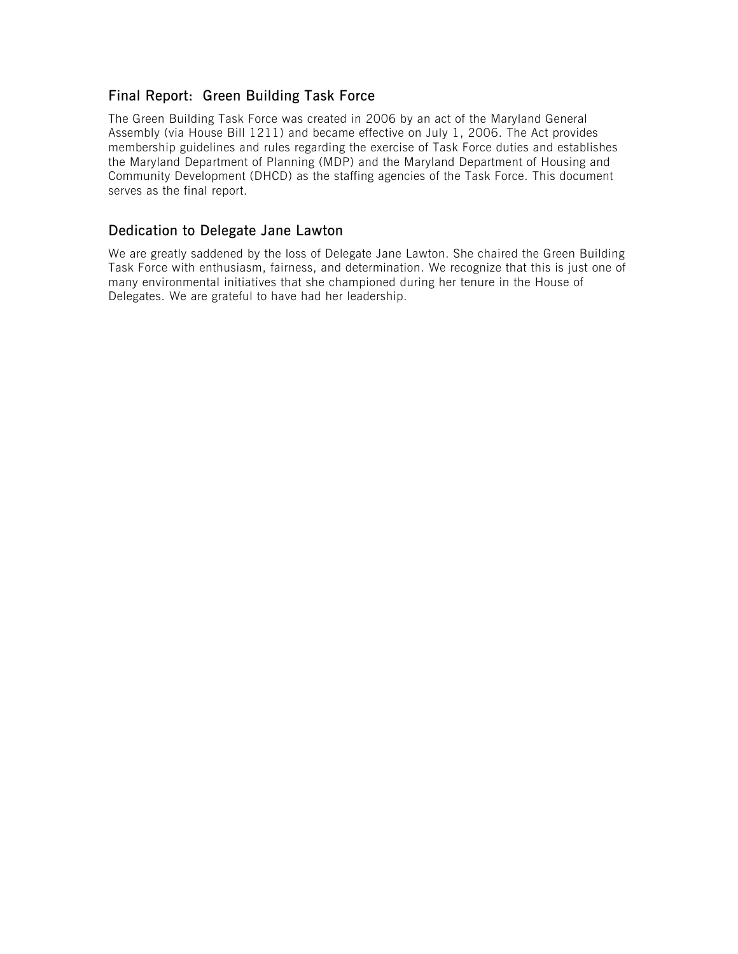# Final Report: Green Building Task Force

The Green Building Task Force was created in 2006 by an act of the Maryland General Assembly (via House Bill 1211) and became effective on July 1, 2006. The Act provides membership guidelines and rules regarding the exercise of Task Force duties and establishes the Maryland Department of Planning (MDP) and the Maryland Department of Housing and Community Development (DHCD) as the staffing agencies of the Task Force. This document serves as the final report.

# Dedication to Delegate Jane Lawton

We are greatly saddened by the loss of Delegate Jane Lawton. She chaired the Green Building Task Force with enthusiasm, fairness, and determination. We recognize that this is just one of many environmental initiatives that she championed during her tenure in the House of Delegates. We are grateful to have had her leadership.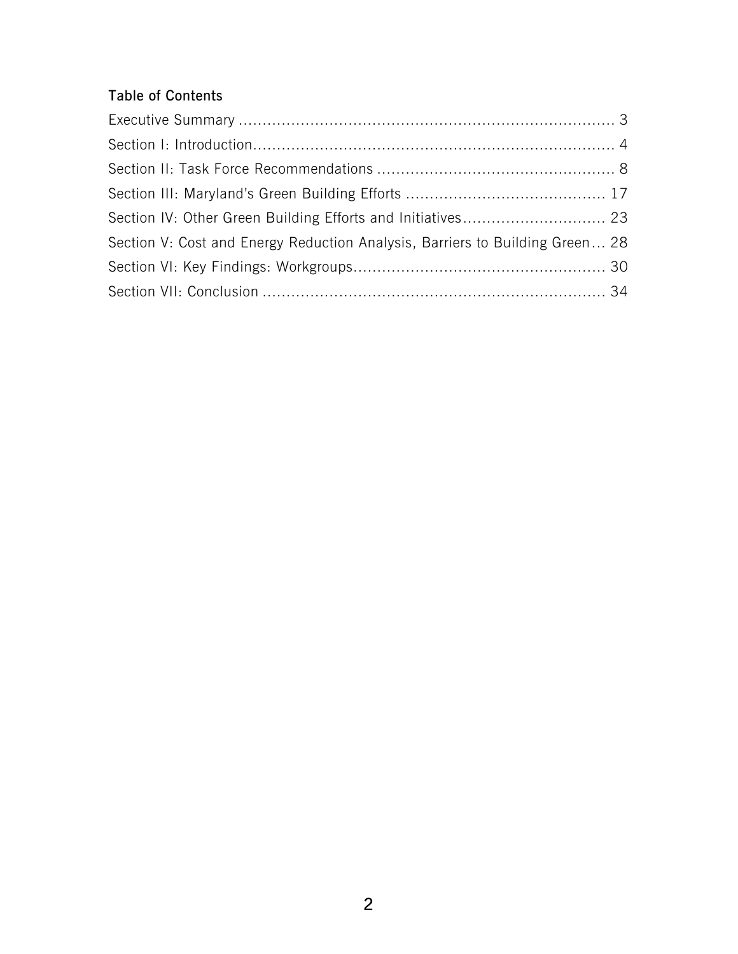# Table of Contents

| Section V: Cost and Energy Reduction Analysis, Barriers to Building Green 28 |  |
|------------------------------------------------------------------------------|--|
|                                                                              |  |
|                                                                              |  |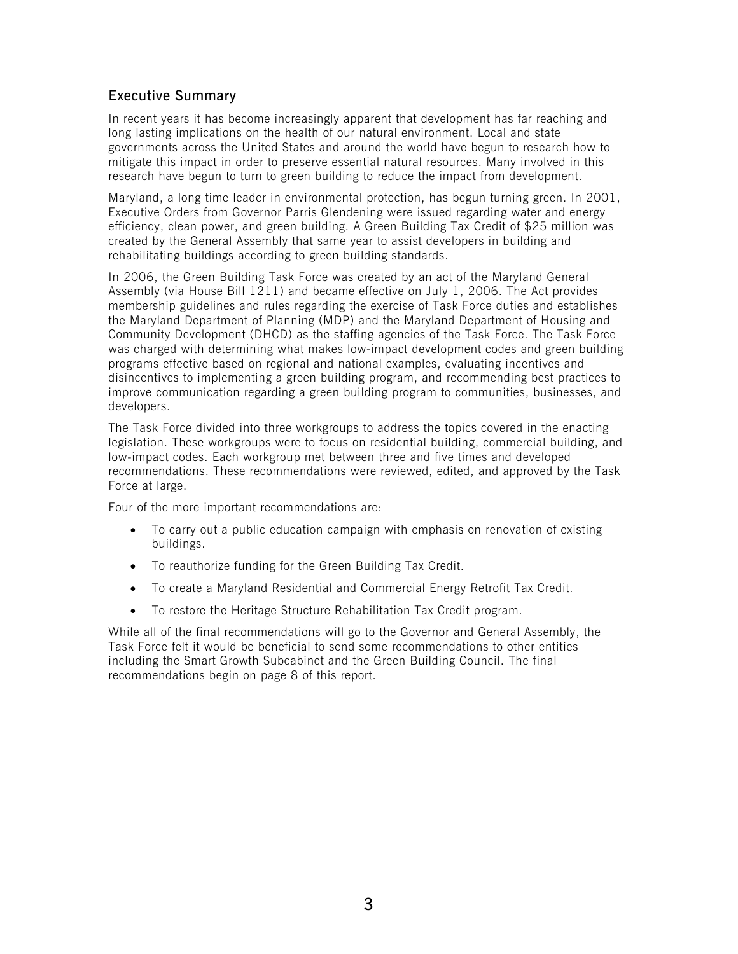# <span id="page-3-0"></span>Executive Summary

In recent years it has become increasingly apparent that development has far reaching and long lasting implications on the health of our natural environment. Local and state governments across the United States and around the world have begun to research how to mitigate this impact in order to preserve essential natural resources. Many involved in this research have begun to turn to green building to reduce the impact from development.

Maryland, a long time leader in environmental protection, has begun turning green. In 2001, Executive Orders from Governor Parris Glendening were issued regarding water and energy efficiency, clean power, and green building. A Green Building Tax Credit of \$25 million was created by the General Assembly that same year to assist developers in building and rehabilitating buildings according to green building standards.

In 2006, the Green Building Task Force was created by an act of the Maryland General Assembly (via House Bill 1211) and became effective on July 1, 2006. The Act provides membership guidelines and rules regarding the exercise of Task Force duties and establishes the Maryland Department of Planning (MDP) and the Maryland Department of Housing and Community Development (DHCD) as the staffing agencies of the Task Force. The Task Force was charged with determining what makes low-impact development codes and green building programs effective based on regional and national examples, evaluating incentives and disincentives to implementing a green building program, and recommending best practices to improve communication regarding a green building program to communities, businesses, and developers.

The Task Force divided into three workgroups to address the topics covered in the enacting legislation. These workgroups were to focus on residential building, commercial building, and low-impact codes. Each workgroup met between three and five times and developed recommendations. These recommendations were reviewed, edited, and approved by the Task Force at large.

Four of the more important recommendations are:

- To carry out a public education campaign with emphasis on renovation of existing buildings.
- To reauthorize funding for the Green Building Tax Credit.
- To create a Maryland Residential and Commercial Energy Retrofit Tax Credit.
- To restore the Heritage Structure Rehabilitation Tax Credit program.

While all of the final recommendations will go to the Governor and General Assembly, the Task Force felt it would be beneficial to send some recommendations to other entities including the Smart Growth Subcabinet and the Green Building Council. The final recommendations begin on page 8 of this report.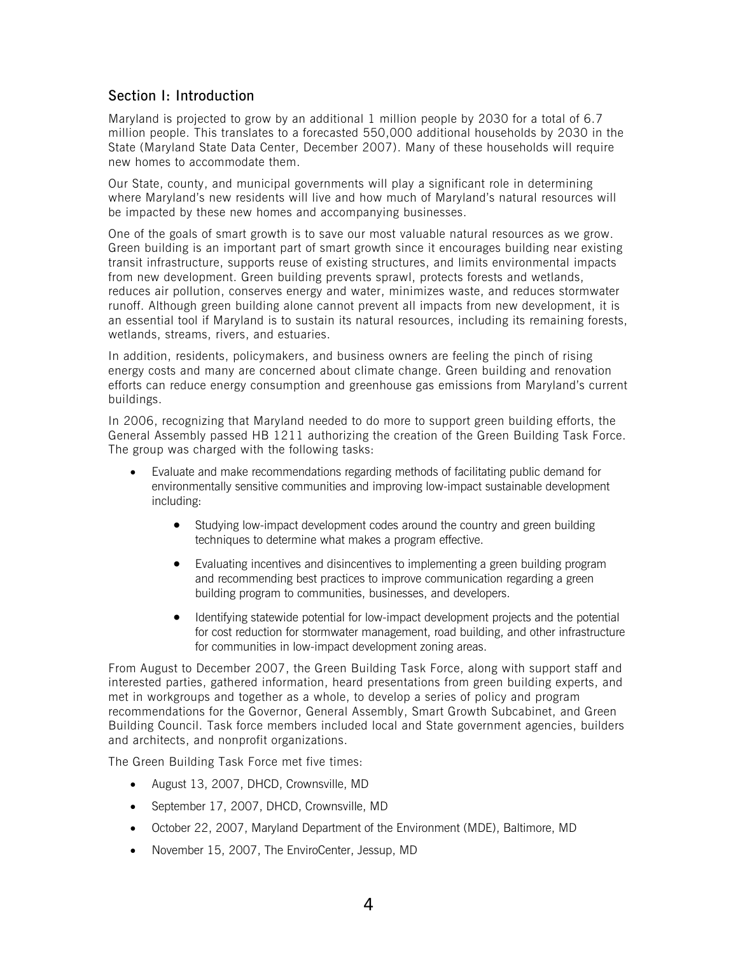# <span id="page-4-0"></span>Section I: Introduction

Maryland is projected to grow by an additional 1 million people by 2030 for a total of 6.7 million people. This translates to a forecasted 550,000 additional households by 2030 in the State (Maryland State Data Center, December 2007). Many of these households will require new homes to accommodate them.

Our State, county, and municipal governments will play a significant role in determining where Maryland's new residents will live and how much of Maryland's natural resources will be impacted by these new homes and accompanying businesses.

One of the goals of smart growth is to save our most valuable natural resources as we grow. Green building is an important part of smart growth since it encourages building near existing transit infrastructure, supports reuse of existing structures, and limits environmental impacts from new development. Green building prevents sprawl, protects forests and wetlands, reduces air pollution, conserves energy and water, minimizes waste, and reduces stormwater runoff. Although green building alone cannot prevent all impacts from new development, it is an essential tool if Maryland is to sustain its natural resources, including its remaining forests, wetlands, streams, rivers, and estuaries.

In addition, residents, policymakers, and business owners are feeling the pinch of rising energy costs and many are concerned about climate change. Green building and renovation efforts can reduce energy consumption and greenhouse gas emissions from Maryland's current buildings.

In 2006, recognizing that Maryland needed to do more to support green building efforts, the General Assembly passed HB 1211 authorizing the creation of the Green Building Task Force. The group was charged with the following tasks:

- Evaluate and make recommendations regarding methods of facilitating public demand for environmentally sensitive communities and improving low-impact sustainable development including:
	- Studying low-impact development codes around the country and green building techniques to determine what makes a program effective.
	- Evaluating incentives and disincentives to implementing a green building program and recommending best practices to improve communication regarding a green building program to communities, businesses, and developers.
	- Identifying statewide potential for low-impact development projects and the potential for cost reduction for stormwater management, road building, and other infrastructure for communities in low-impact development zoning areas.

From August to December 2007, the Green Building Task Force, along with support staff and interested parties, gathered information, heard presentations from green building experts, and met in workgroups and together as a whole, to develop a series of policy and program recommendations for the Governor, General Assembly, Smart Growth Subcabinet, and Green Building Council. Task force members included local and State government agencies, builders and architects, and nonprofit organizations.

The Green Building Task Force met five times:

- August 13, 2007, DHCD, Crownsville, MD
- September 17, 2007, DHCD, Crownsville, MD
- October 22, 2007, Maryland Department of the Environment (MDE), Baltimore, MD
- November 15, 2007, The EnviroCenter, Jessup, MD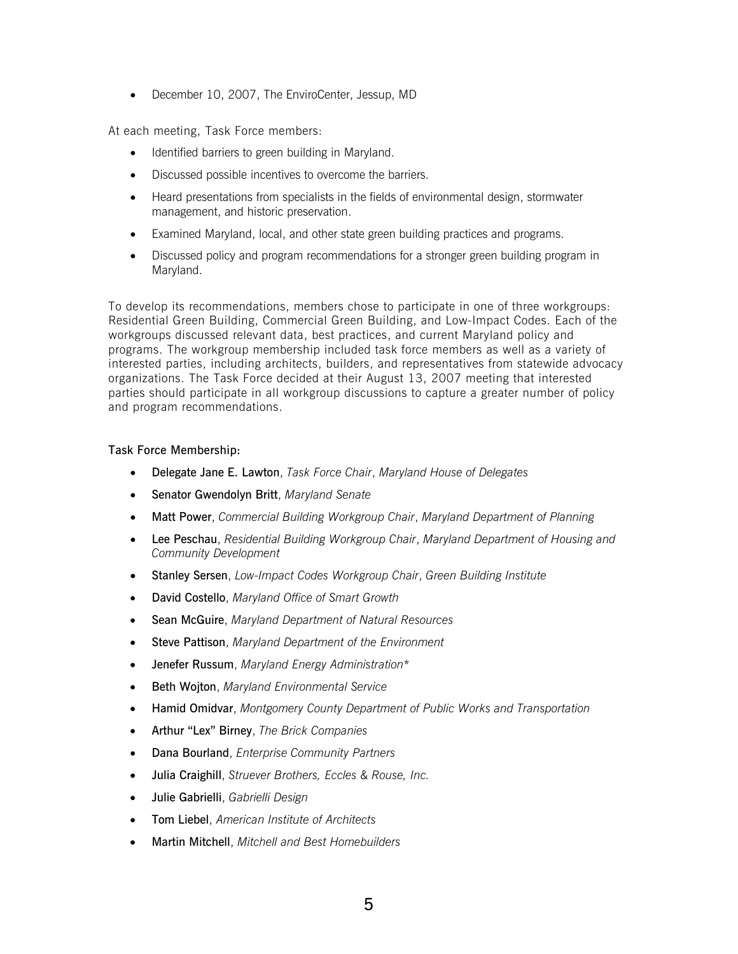• December 10, 2007, The EnviroCenter, Jessup, MD

At each meeting, Task Force members:

- Identified barriers to green building in Maryland.
- Discussed possible incentives to overcome the barriers.
- Heard presentations from specialists in the fields of environmental design, stormwater management, and historic preservation.
- Examined Maryland, local, and other state green building practices and programs.
- Discussed policy and program recommendations for a stronger green building program in Maryland.

To develop its recommendations, members chose to participate in one of three workgroups: Residential Green Building, Commercial Green Building, and Low-Impact Codes. Each of the workgroups discussed relevant data, best practices, and current Maryland policy and programs. The workgroup membership included task force members as well as a variety of interested parties, including architects, builders, and representatives from statewide advocacy organizations. The Task Force decided at their August 13, 2007 meeting that interested parties should participate in all workgroup discussions to capture a greater number of policy and program recommendations.

### Task Force Membership:

- Delegate Jane E. Lawton, *Task Force Chair*, *Maryland House of Delegates*
- Senator Gwendolyn Britt, *Maryland Senate*
- Matt Power, *Commercial Building Workgroup Chair*, *Maryland Department of Planning*
- Lee Peschau, *Residential Building Workgroup Chair*, *Maryland Department of Housing and Community Development*
- Stanley Sersen, *Low-Impact Codes Workgroup Chair*, *Green Building Institute*
- David Costello, *Maryland Office of Smart Growth*
- Sean McGuire, *Maryland Department of Natural Resources*
- Steve Pattison, *Maryland Department of the Environment*
- Jenefer Russum, *Maryland Energy Administration*\*
- Beth Wojton, *Maryland Environmental Service*
- Hamid Omidvar, *Montgomery County Department of Public Works and Transportation*
- Arthur "Lex" Birney, *The Brick Companies*
- Dana Bourland, *Enterprise Community Partners*
- Julia Craighill, *Struever Brothers, Eccles & Rouse, Inc.*
- Julie Gabrielli, *Gabrielli Design*
- Tom Liebel, *American Institute of Architects*
- Martin Mitchell, *Mitchell and Best Homebuilders*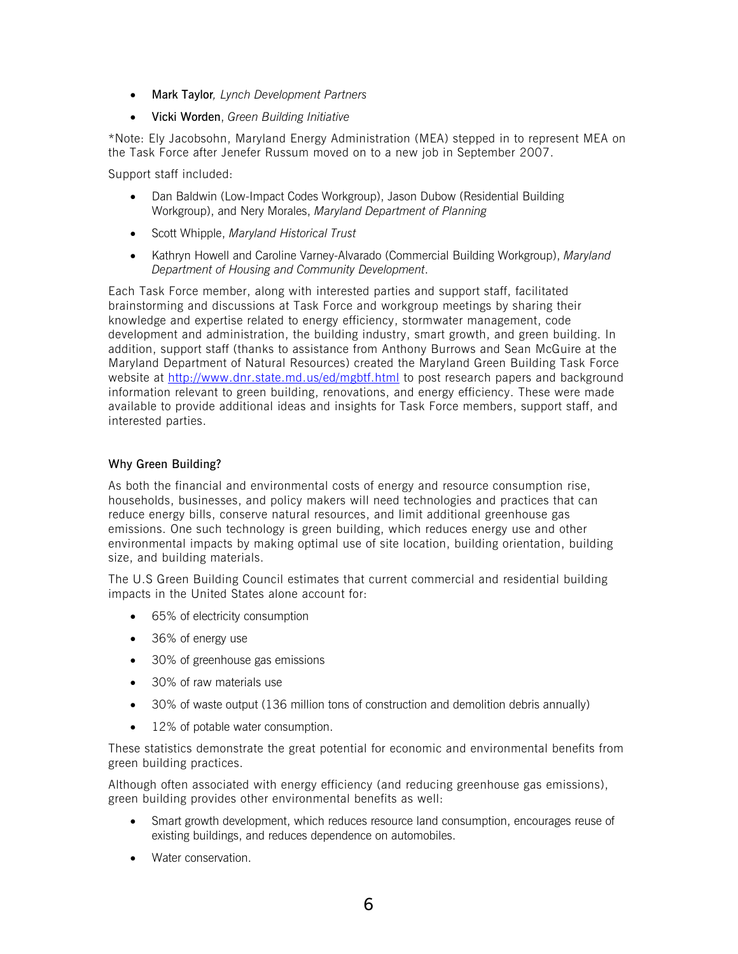- Mark Taylor*, Lynch Development Partners*
- Vicki Worden, *Green Building Initiative*

\*Note: Ely Jacobsohn, Maryland Energy Administration (MEA) stepped in to represent MEA on the Task Force after Jenefer Russum moved on to a new job in September 2007.

Support staff included:

- Dan Baldwin (Low-Impact Codes Workgroup), Jason Dubow (Residential Building Workgroup), and Nery Morales, *Maryland Department of Planning*
- Scott Whipple, *Maryland Historical Trust*
- Kathryn Howell and Caroline Varney-Alvarado (Commercial Building Workgroup), *Maryland Department of Housing and Community Development*.

Each Task Force member, along with interested parties and support staff, facilitated brainstorming and discussions at Task Force and workgroup meetings by sharing their knowledge and expertise related to energy efficiency, stormwater management, code development and administration, the building industry, smart growth, and green building. In addition, support staff (thanks to assistance from Anthony Burrows and Sean McGuire at the Maryland Department of Natural Resources) created the Maryland Green Building Task Force website at <http://www.dnr.state.md.us/ed/mgbtf.html>to post research papers and background information relevant to green building, renovations, and energy efficiency. These were made available to provide additional ideas and insights for Task Force members, support staff, and interested parties.

# Why Green Building?

As both the financial and environmental costs of energy and resource consumption rise, households, businesses, and policy makers will need technologies and practices that can reduce energy bills, conserve natural resources, and limit additional greenhouse gas emissions. One such technology is green building, which reduces energy use and other environmental impacts by making optimal use of site location, building orientation, building size, and building materials.

The U.S Green Building Council estimates that current commercial and residential building impacts in the United States alone account for:

- 65% of electricity consumption
- 36% of energy use
- 30% of greenhouse gas emissions
- 30% of raw materials use
- 30% of waste output (136 million tons of construction and demolition debris annually)
- 12% of potable water consumption.

These statistics demonstrate the great potential for economic and environmental benefits from green building practices.

Although often associated with energy efficiency (and reducing greenhouse gas emissions), green building provides other environmental benefits as well:

- Smart growth development, which reduces resource land consumption, encourages reuse of existing buildings, and reduces dependence on automobiles.
- Water conservation.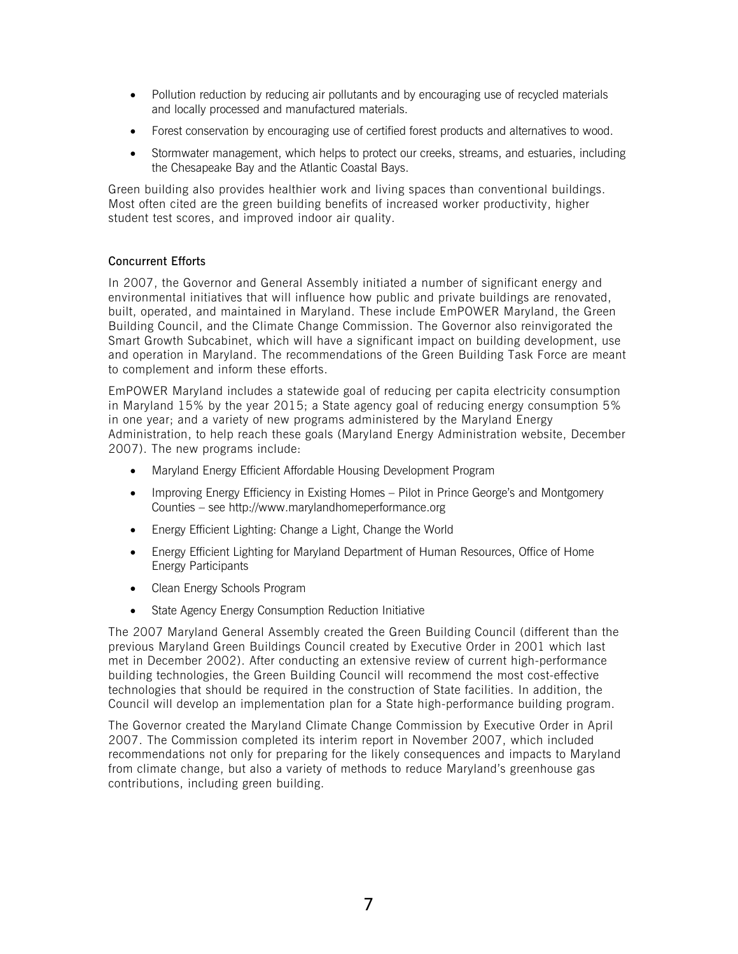- Pollution reduction by reducing air pollutants and by encouraging use of recycled materials and locally processed and manufactured materials.
- Forest conservation by encouraging use of certified forest products and alternatives to wood.
- Stormwater management, which helps to protect our creeks, streams, and estuaries, including the Chesapeake Bay and the Atlantic Coastal Bays.

Green building also provides healthier work and living spaces than conventional buildings. Most often cited are the green building benefits of increased worker productivity, higher student test scores, and improved indoor air quality.

# Concurrent Efforts

In 2007, the Governor and General Assembly initiated a number of significant energy and environmental initiatives that will influence how public and private buildings are renovated, built, operated, and maintained in Maryland. These include EmPOWER Maryland, the Green Building Council, and the Climate Change Commission. The Governor also reinvigorated the Smart Growth Subcabinet, which will have a significant impact on building development, use and operation in Maryland. The recommendations of the Green Building Task Force are meant to complement and inform these efforts.

EmPOWER Maryland includes a statewide goal of reducing per capita electricity consumption in Maryland 15% by the year 2015; a State agency goal of reducing energy consumption 5% in one year; and a variety of new programs administered by the Maryland Energy Administration, to help reach these goals (Maryland Energy Administration website, December 2007). The new programs include:

- Maryland Energy Efficient Affordable Housing Development Program
- Improving Energy Efficiency in Existing Homes Pilot in Prince George's and Montgomery Counties – see http://www.marylandhomeperformance.org
- Energy Efficient Lighting: Change a Light, Change the World
- Energy Efficient Lighting for Maryland Department of Human Resources, Office of Home Energy Participants
- Clean Energy Schools Program
- State Agency Energy Consumption Reduction Initiative

The 2007 Maryland General Assembly created the Green Building Council (different than the previous Maryland Green Buildings Council created by Executive Order in 2001 which last met in December 2002). After conducting an extensive review of current high-performance building technologies, the Green Building Council will recommend the most cost-effective technologies that should be required in the construction of State facilities. In addition, the Council will develop an implementation plan for a State high-performance building program.

The Governor created the Maryland Climate Change Commission by Executive Order in April 2007. The Commission completed its interim report in November 2007, which included recommendations not only for preparing for the likely consequences and impacts to Maryland from climate change, but also a variety of methods to reduce Maryland's greenhouse gas contributions, including green building.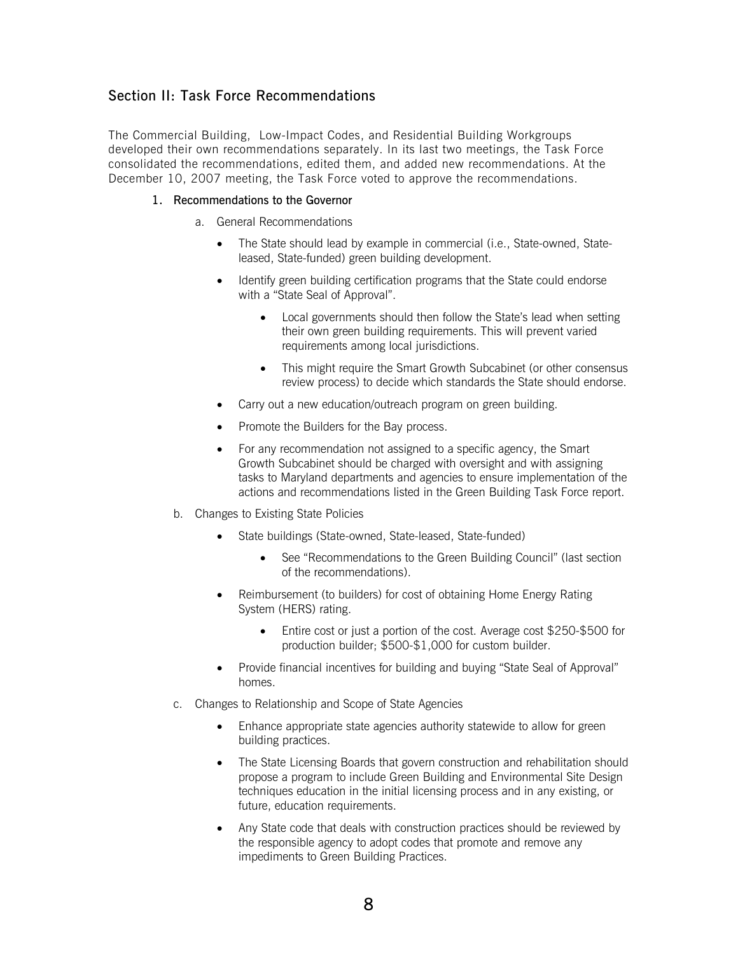# <span id="page-8-0"></span>Section II: Task Force Recommendations

The Commercial Building, Low-Impact Codes, and Residential Building Workgroups developed their own recommendations separately. In its last two meetings, the Task Force consolidated the recommendations, edited them, and added new recommendations. At the December 10, 2007 meeting, the Task Force voted to approve the recommendations.

### 1. Recommendations to the Governor

- a. General Recommendations
	- The State should lead by example in commercial (i.e., State-owned, Stateleased, State-funded) green building development.
	- Identify green building certification programs that the State could endorse with a "State Seal of Approval".
		- Local governments should then follow the State's lead when setting their own green building requirements. This will prevent varied requirements among local jurisdictions.
		- This might require the Smart Growth Subcabinet (or other consensus review process) to decide which standards the State should endorse.
	- Carry out a new education/outreach program on green building.
	- Promote the Builders for the Bay process.
	- For any recommendation not assigned to a specific agency, the Smart Growth Subcabinet should be charged with oversight and with assigning tasks to Maryland departments and agencies to ensure implementation of the actions and recommendations listed in the Green Building Task Force report.
- b. Changes to Existing State Policies
	- State buildings (State-owned, State-leased, State-funded)
		- See "Recommendations to the Green Building Council" (last section of the recommendations).
	- Reimbursement (to builders) for cost of obtaining Home Energy Rating System (HERS) rating.
		- Entire cost or just a portion of the cost. Average cost \$250-\$500 for production builder; \$500-\$1,000 for custom builder.
	- Provide financial incentives for building and buying "State Seal of Approval" homes.
- c. Changes to Relationship and Scope of State Agencies
	- Enhance appropriate state agencies authority statewide to allow for green building practices.
	- The State Licensing Boards that govern construction and rehabilitation should propose a program to include Green Building and Environmental Site Design techniques education in the initial licensing process and in any existing, or future, education requirements.
	- Any State code that deals with construction practices should be reviewed by the responsible agency to adopt codes that promote and remove any impediments to Green Building Practices.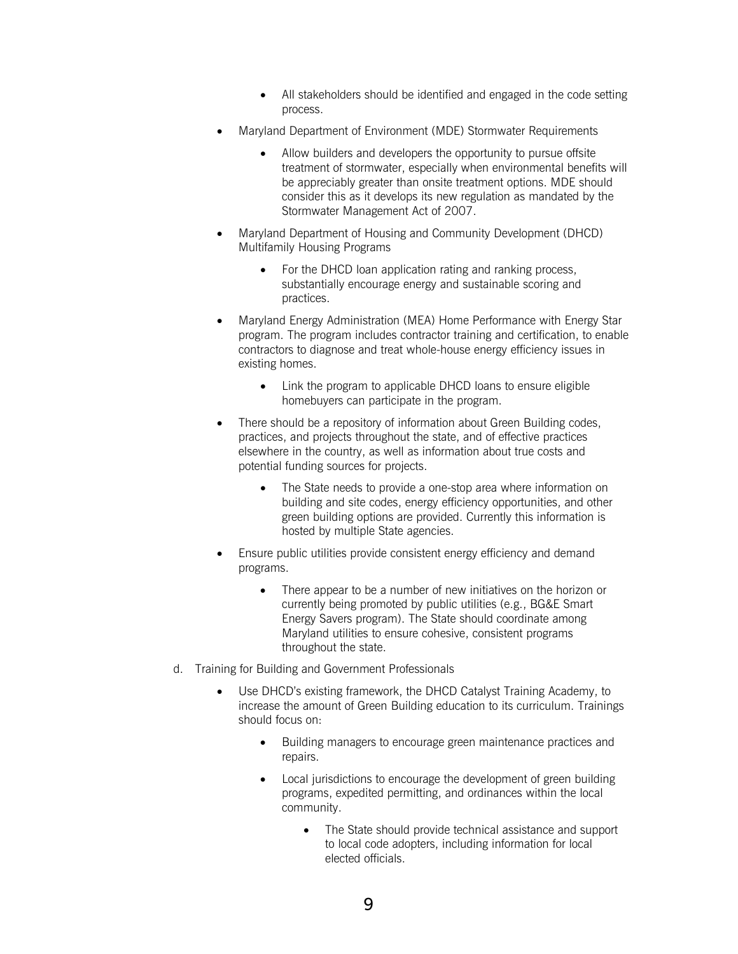- All stakeholders should be identified and engaged in the code setting process.
- Maryland Department of Environment (MDE) Stormwater Requirements
	- Allow builders and developers the opportunity to pursue offsite treatment of stormwater, especially when environmental benefits will be appreciably greater than onsite treatment options. MDE should consider this as it develops its new regulation as mandated by the Stormwater Management Act of 2007.
- Maryland Department of Housing and Community Development (DHCD) Multifamily Housing Programs
	- For the DHCD loan application rating and ranking process, substantially encourage energy and sustainable scoring and practices.
- Maryland Energy Administration (MEA) Home Performance with Energy Star program. The program includes contractor training and certification, to enable contractors to diagnose and treat whole-house energy efficiency issues in existing homes.
	- Link the program to applicable DHCD loans to ensure eligible homebuyers can participate in the program.
- There should be a repository of information about Green Building codes, practices, and projects throughout the state, and of effective practices elsewhere in the country, as well as information about true costs and potential funding sources for projects.
	- The State needs to provide a one-stop area where information on building and site codes, energy efficiency opportunities, and other green building options are provided. Currently this information is hosted by multiple State agencies.
- Ensure public utilities provide consistent energy efficiency and demand programs.
	- There appear to be a number of new initiatives on the horizon or currently being promoted by public utilities (e.g., BG&E Smart Energy Savers program). The State should coordinate among Maryland utilities to ensure cohesive, consistent programs throughout the state.
- d. Training for Building and Government Professionals
	- Use DHCD's existing framework, the DHCD Catalyst Training Academy, to increase the amount of Green Building education to its curriculum. Trainings should focus on:
		- Building managers to encourage green maintenance practices and repairs.
		- Local jurisdictions to encourage the development of green building programs, expedited permitting, and ordinances within the local community.
			- The State should provide technical assistance and support to local code adopters, including information for local elected officials.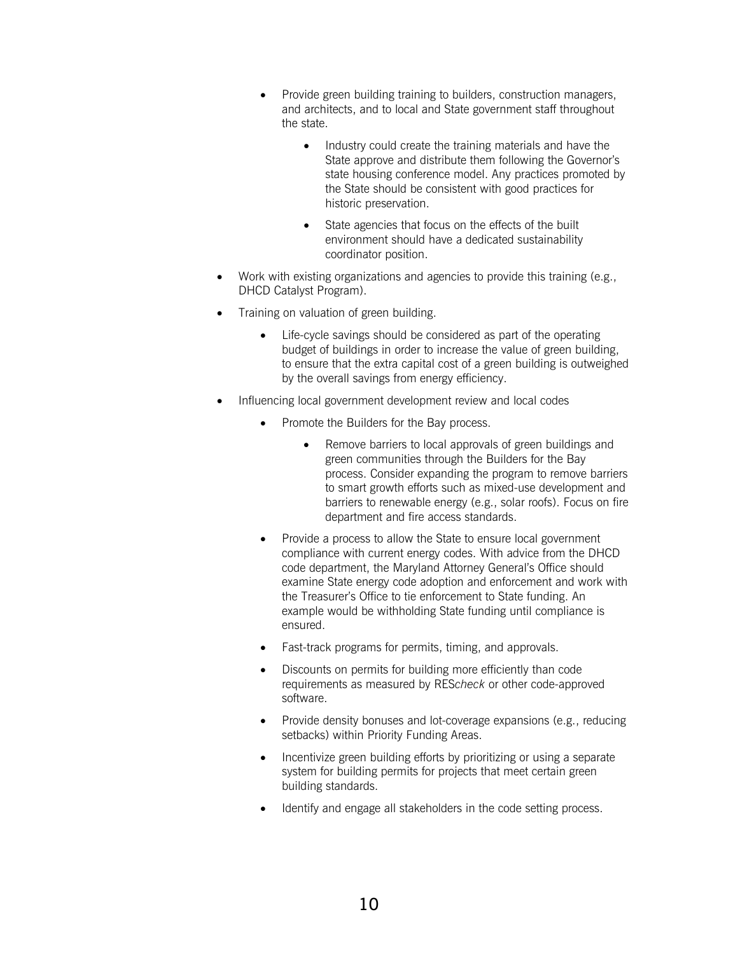- Provide green building training to builders, construction managers, and architects, and to local and State government staff throughout the state.
	- Industry could create the training materials and have the State approve and distribute them following the Governor's state housing conference model. Any practices promoted by the State should be consistent with good practices for historic preservation.
	- State agencies that focus on the effects of the built environment should have a dedicated sustainability coordinator position.
- Work with existing organizations and agencies to provide this training (e.g., DHCD Catalyst Program).
- Training on valuation of green building.
	- Life-cycle savings should be considered as part of the operating budget of buildings in order to increase the value of green building, to ensure that the extra capital cost of a green building is outweighed by the overall savings from energy efficiency.
- Influencing local government development review and local codes
	- Promote the Builders for the Bay process.
		- Remove barriers to local approvals of green buildings and green communities through the Builders for the Bay process. Consider expanding the program to remove barriers to smart growth efforts such as mixed-use development and barriers to renewable energy (e.g., solar roofs). Focus on fire department and fire access standards.
	- Provide a process to allow the State to ensure local government compliance with current energy codes. With advice from the DHCD code department, the Maryland Attorney General's Office should examine State energy code adoption and enforcement and work with the Treasurer's Office to tie enforcement to State funding. An example would be withholding State funding until compliance is ensured.
	- Fast-track programs for permits, timing, and approvals.
	- Discounts on permits for building more efficiently than code requirements as measured by RES*check* or other code-approved software.
	- Provide density bonuses and lot-coverage expansions (e.g., reducing setbacks) within Priority Funding Areas.
	- Incentivize green building efforts by prioritizing or using a separate system for building permits for projects that meet certain green building standards.
	- Identify and engage all stakeholders in the code setting process.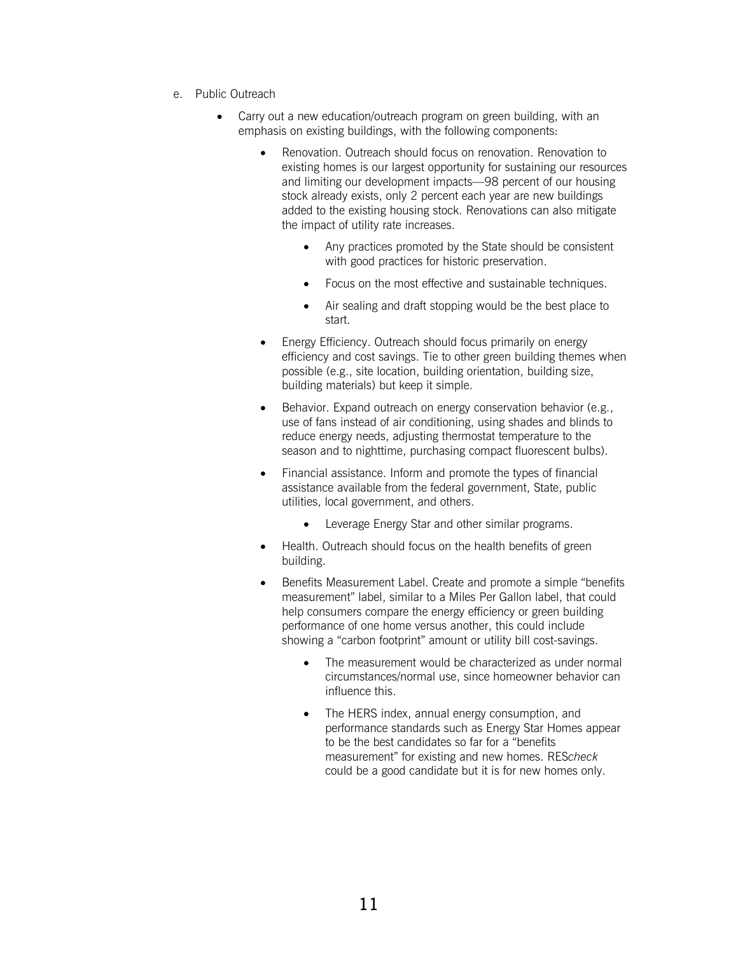- e. Public Outreach
	- Carry out a new education/outreach program on green building, with an emphasis on existing buildings, with the following components:
		- Renovation. Outreach should focus on renovation. Renovation to existing homes is our largest opportunity for sustaining our resources and limiting our development impacts—98 percent of our housing stock already exists, only 2 percent each year are new buildings added to the existing housing stock. Renovations can also mitigate the impact of utility rate increases.
			- Any practices promoted by the State should be consistent with good practices for historic preservation.
			- Focus on the most effective and sustainable techniques.
			- Air sealing and draft stopping would be the best place to start.
		- Energy Efficiency. Outreach should focus primarily on energy efficiency and cost savings. Tie to other green building themes when possible (e.g., site location, building orientation, building size, building materials) but keep it simple.
		- Behavior. Expand outreach on energy conservation behavior (e.g., use of fans instead of air conditioning, using shades and blinds to reduce energy needs, adjusting thermostat temperature to the season and to nighttime, purchasing compact fluorescent bulbs).
		- Financial assistance. Inform and promote the types of financial assistance available from the federal government, State, public utilities, local government, and others.
			- Leverage Energy Star and other similar programs.
		- Health. Outreach should focus on the health benefits of green building.
		- Benefits Measurement Label. Create and promote a simple "benefits measurement" label, similar to a Miles Per Gallon label, that could help consumers compare the energy efficiency or green building performance of one home versus another, this could include showing a "carbon footprint" amount or utility bill cost-savings.
			- The measurement would be characterized as under normal circumstances/normal use, since homeowner behavior can influence this.
			- The HERS index, annual energy consumption, and performance standards such as Energy Star Homes appear to be the best candidates so far for a "benefits measurement" for existing and new homes. RES*check* could be a good candidate but it is for new homes only.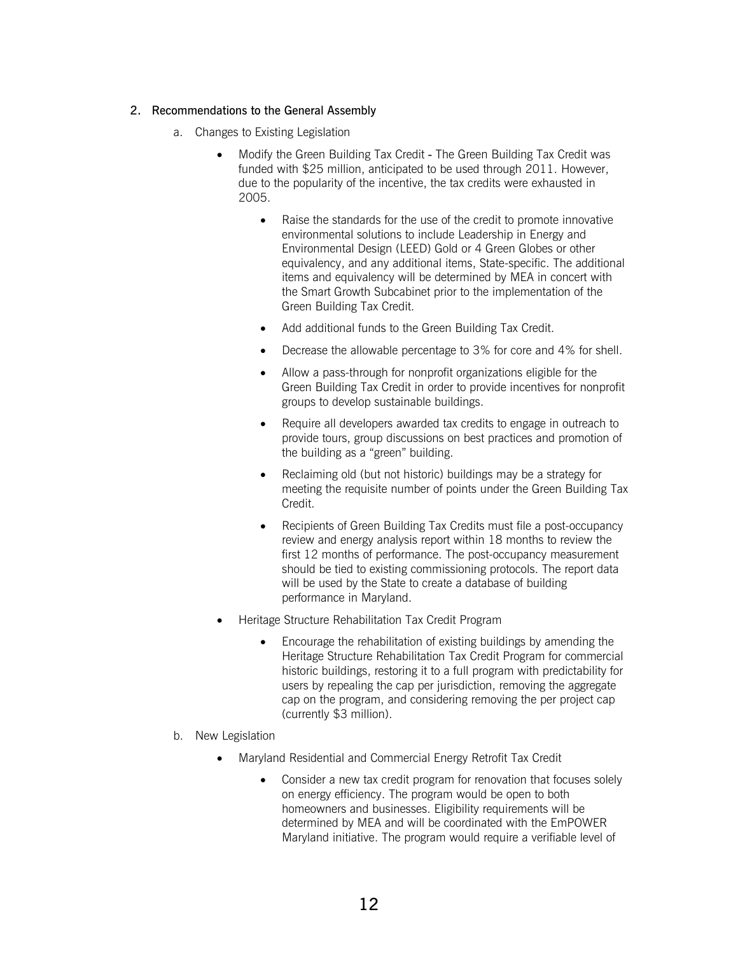### 2. Recommendations to the General Assembly

- a. Changes to Existing Legislation
	- Modify the Green Building Tax Credit The Green Building Tax Credit was funded with \$25 million, anticipated to be used through 2011. However, due to the popularity of the incentive, the tax credits were exhausted in 2005.
		- Raise the standards for the use of the credit to promote innovative environmental solutions to include Leadership in Energy and Environmental Design (LEED) Gold or 4 Green Globes or other equivalency, and any additional items, State-specific. The additional items and equivalency will be determined by MEA in concert with the Smart Growth Subcabinet prior to the implementation of the Green Building Tax Credit.
		- Add additional funds to the Green Building Tax Credit.
		- Decrease the allowable percentage to 3% for core and 4% for shell.
		- Allow a pass-through for nonprofit organizations eligible for the Green Building Tax Credit in order to provide incentives for nonprofit groups to develop sustainable buildings.
		- Require all developers awarded tax credits to engage in outreach to provide tours, group discussions on best practices and promotion of the building as a "green" building.
		- Reclaiming old (but not historic) buildings may be a strategy for meeting the requisite number of points under the Green Building Tax Credit.
		- Recipients of Green Building Tax Credits must file a post-occupancy review and energy analysis report within 18 months to review the first 12 months of performance. The post-occupancy measurement should be tied to existing commissioning protocols. The report data will be used by the State to create a database of building performance in Maryland.
	- Heritage Structure Rehabilitation Tax Credit Program
		- Encourage the rehabilitation of existing buildings by amending the Heritage Structure Rehabilitation Tax Credit Program for commercial historic buildings, restoring it to a full program with predictability for users by repealing the cap per jurisdiction, removing the aggregate cap on the program, and considering removing the per project cap (currently \$3 million).
- b. New Legislation
	- Maryland Residential and Commercial Energy Retrofit Tax Credit
		- Consider a new tax credit program for renovation that focuses solely on energy efficiency. The program would be open to both homeowners and businesses. Eligibility requirements will be determined by MEA and will be coordinated with the EmPOWER Maryland initiative. The program would require a verifiable level of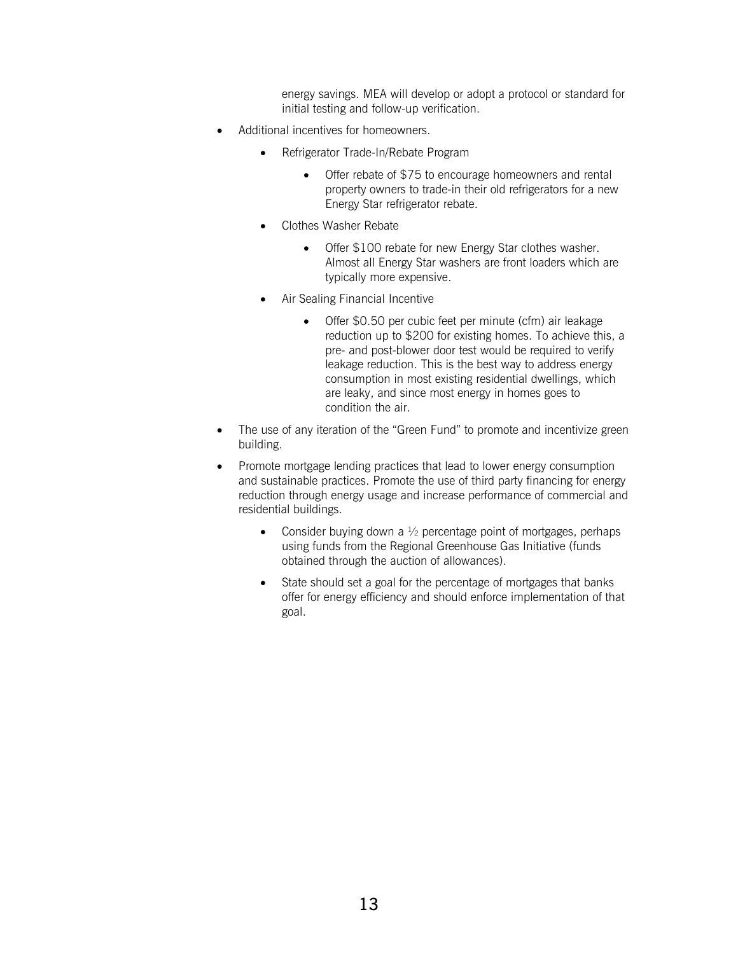energy savings. MEA will develop or adopt a protocol or standard for initial testing and follow-up verification.

- Additional incentives for homeowners.
	- Refrigerator Trade-In/Rebate Program
		- Offer rebate of \$75 to encourage homeowners and rental property owners to trade-in their old refrigerators for a new Energy Star refrigerator rebate.
	- Clothes Washer Rebate
		- Offer \$100 rebate for new Energy Star clothes washer. Almost all Energy Star washers are front loaders which are typically more expensive.
	- Air Sealing Financial Incentive
		- Offer \$0.50 per cubic feet per minute (cfm) air leakage reduction up to \$200 for existing homes. To achieve this, a pre- and post-blower door test would be required to verify leakage reduction. This is the best way to address energy consumption in most existing residential dwellings, which are leaky, and since most energy in homes goes to condition the air.
- The use of any iteration of the "Green Fund" to promote and incentivize green building.
- Promote mortgage lending practices that lead to lower energy consumption and sustainable practices. Promote the use of third party financing for energy reduction through energy usage and increase performance of commercial and residential buildings.
	- Consider buying down a  $\frac{1}{2}$  percentage point of mortgages, perhaps using funds from the Regional Greenhouse Gas Initiative (funds obtained through the auction of allowances).
	- State should set a goal for the percentage of mortgages that banks offer for energy efficiency and should enforce implementation of that goal.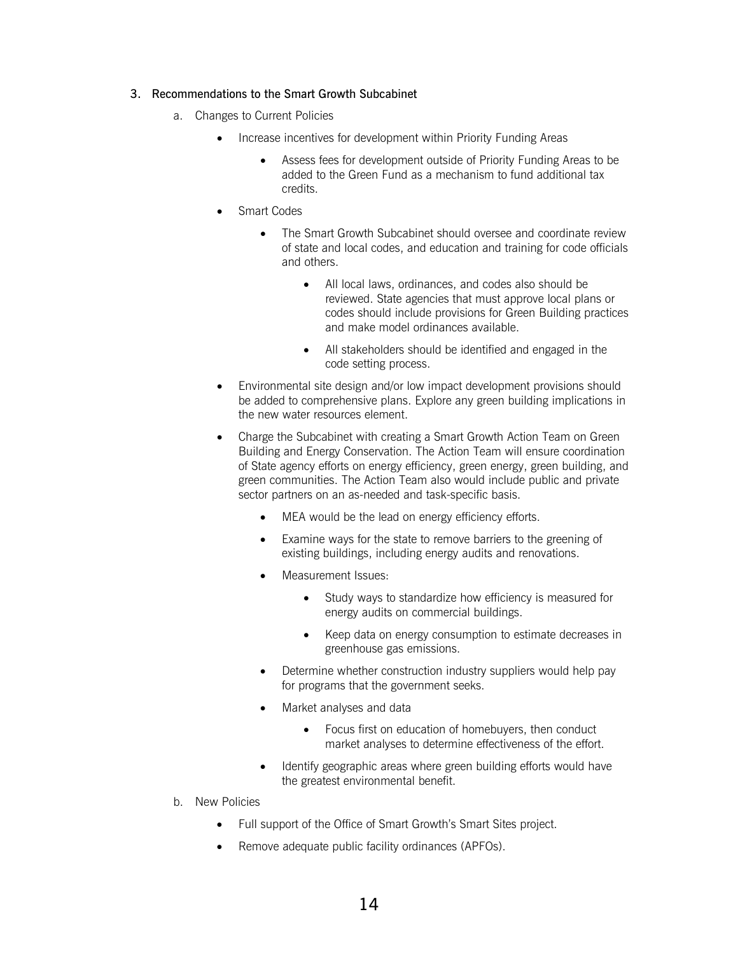#### 3. Recommendations to the Smart Growth Subcabinet

- a. Changes to Current Policies
	- Increase incentives for development within Priority Funding Areas
		- Assess fees for development outside of Priority Funding Areas to be added to the Green Fund as a mechanism to fund additional tax credits.
	- Smart Codes
		- The Smart Growth Subcabinet should oversee and coordinate review of state and local codes, and education and training for code officials and others.
			- All local laws, ordinances, and codes also should be reviewed. State agencies that must approve local plans or codes should include provisions for Green Building practices and make model ordinances available.
			- All stakeholders should be identified and engaged in the code setting process.
	- Environmental site design and/or low impact development provisions should be added to comprehensive plans. Explore any green building implications in the new water resources element.
	- Charge the Subcabinet with creating a Smart Growth Action Team on Green Building and Energy Conservation. The Action Team will ensure coordination of State agency efforts on energy efficiency, green energy, green building, and green communities. The Action Team also would include public and private sector partners on an as-needed and task-specific basis.
		- MEA would be the lead on energy efficiency efforts.
		- Examine ways for the state to remove barriers to the greening of existing buildings, including energy audits and renovations.
		- Measurement Issues:
			- Study ways to standardize how efficiency is measured for energy audits on commercial buildings.
			- Keep data on energy consumption to estimate decreases in greenhouse gas emissions.
		- Determine whether construction industry suppliers would help pay for programs that the government seeks.
		- Market analyses and data
			- Focus first on education of homebuyers, then conduct market analyses to determine effectiveness of the effort.
		- Identify geographic areas where green building efforts would have the greatest environmental benefit.
- b. New Policies
	- Full support of the Office of Smart Growth's Smart Sites project.
	- Remove adequate public facility ordinances (APFOs).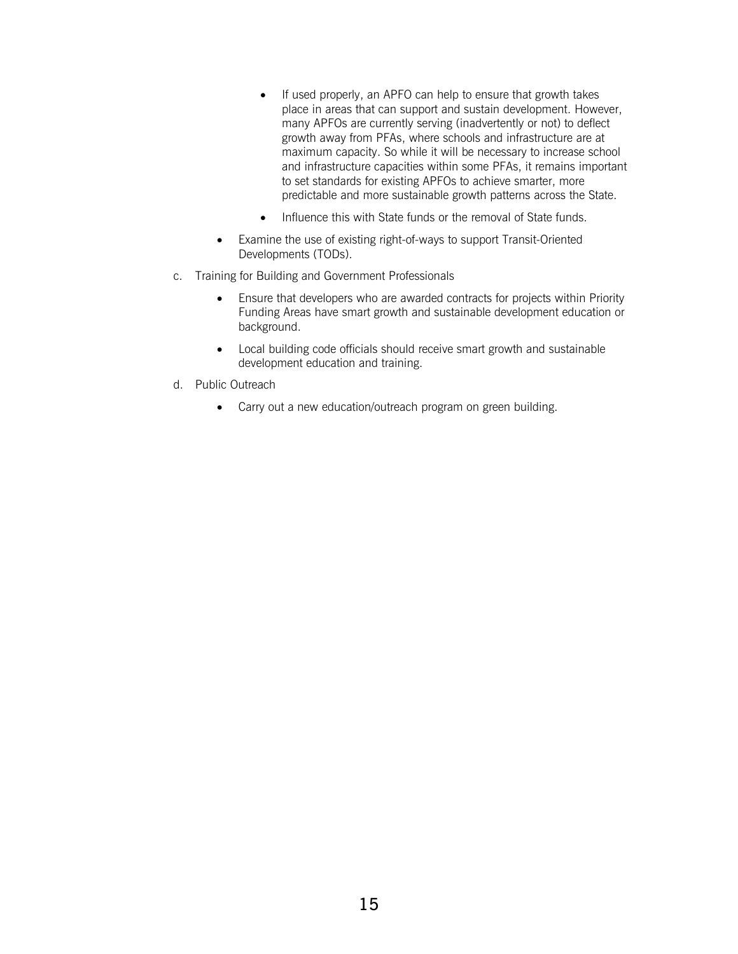- If used properly, an APFO can help to ensure that growth takes place in areas that can support and sustain development. However, many APFOs are currently serving (inadvertently or not) to deflect growth away from PFAs, where schools and infrastructure are at maximum capacity. So while it will be necessary to increase school and infrastructure capacities within some PFAs, it remains important to set standards for existing APFOs to achieve smarter, more predictable and more sustainable growth patterns across the State.
- Influence this with State funds or the removal of State funds.
- Examine the use of existing right-of-ways to support Transit-Oriented Developments (TODs).
- c. Training for Building and Government Professionals
	- Ensure that developers who are awarded contracts for projects within Priority Funding Areas have smart growth and sustainable development education or background.
	- Local building code officials should receive smart growth and sustainable development education and training.
- d. Public Outreach
	- Carry out a new education/outreach program on green building.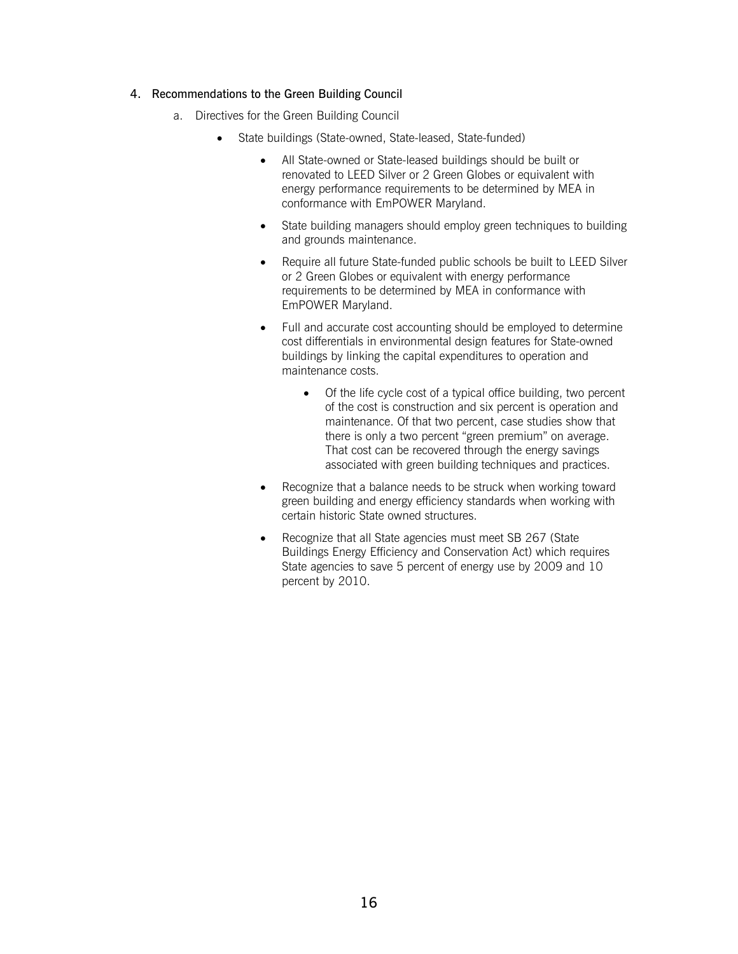#### 4. Recommendations to the Green Building Council

- a. Directives for the Green Building Council
	- State buildings (State-owned, State-leased, State-funded)
		- All State-owned or State-leased buildings should be built or renovated to LEED Silver or 2 Green Globes or equivalent with energy performance requirements to be determined by MEA in conformance with EmPOWER Maryland.
		- State building managers should employ green techniques to building and grounds maintenance.
		- Require all future State-funded public schools be built to LEED Silver or 2 Green Globes or equivalent with energy performance requirements to be determined by MEA in conformance with EmPOWER Maryland.
		- Full and accurate cost accounting should be employed to determine cost differentials in environmental design features for State-owned buildings by linking the capital expenditures to operation and maintenance costs.
			- Of the life cycle cost of a typical office building, two percent of the cost is construction and six percent is operation and maintenance. Of that two percent, case studies show that there is only a two percent "green premium" on average. That cost can be recovered through the energy savings associated with green building techniques and practices.
		- Recognize that a balance needs to be struck when working toward green building and energy efficiency standards when working with certain historic State owned structures.
		- Recognize that all State agencies must meet SB 267 (State Buildings Energy Efficiency and Conservation Act) which requires State agencies to save 5 percent of energy use by 2009 and 10 percent by 2010.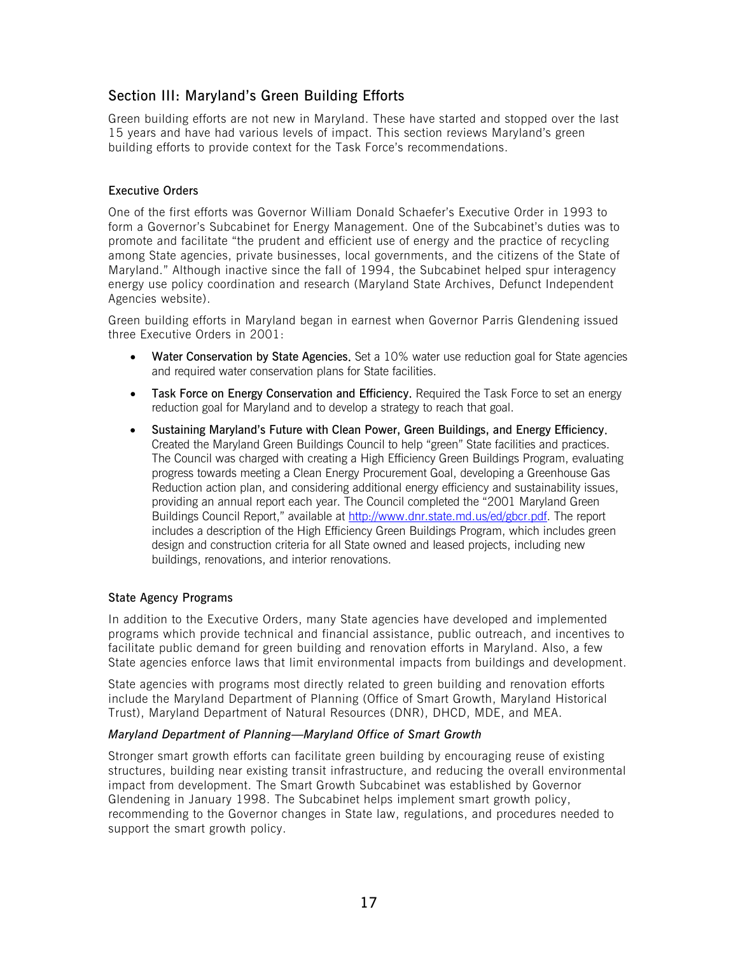# <span id="page-17-0"></span>Section III: Maryland's Green Building Efforts

Green building efforts are not new in Maryland. These have started and stopped over the last 15 years and have had various levels of impact. This section reviews Maryland's green building efforts to provide context for the Task Force's recommendations.

# Executive Orders

One of the first efforts was Governor William Donald Schaefer's Executive Order in 1993 to form a Governor's Subcabinet for Energy Management. One of the Subcabinet's duties was to promote and facilitate "the prudent and efficient use of energy and the practice of recycling among State agencies, private businesses, local governments, and the citizens of the State of Maryland." Although inactive since the fall of 1994, the Subcabinet helped spur interagency energy use policy coordination and research (Maryland State Archives, Defunct Independent Agencies website).

Green building efforts in Maryland began in earnest when Governor Parris Glendening issued three Executive Orders in 2001:

- [Water Conservation by State Agencies](http://www.dsd.state.md.us/comar/01/01.01.2001.06.htm). Set a 10% water use reduction goal for State agencies and required water conservation plans for State facilities.
- [Task Force on Energy Conservation and Efficiency](http://www.dsd.state.md.us/comar/01/01.01.2001.07.htm). Required the Task Force to set an energy reduction goal for Maryland and to develop a strategy to reach that goal.
- [Sustaining Maryland's Future with Clean Power, Green Buildings, and Energy Efficiency](http://www.dsd.state.md.us/comar/01/01.01.2001.02.htm). Created the Maryland Green Buildings Council to help "green" State facilities and practices. The Council was charged with creating a High Efficiency Green Buildings Program, evaluating progress towards meeting a Clean Energy Procurement Goal, developing a Greenhouse Gas Reduction action plan, and considering additional energy efficiency and sustainability issues, providing an annual report each year. The Council completed the "2001 Maryland Green Buildings Council Report," available at [http://www.dnr.state.md.us/ed/gbcr.pdf.](http://www.dnr.state.md.us/ed/gbcr.pdf) The report includes a description of the High Efficiency Green Buildings Program, which includes green design and construction criteria for all State owned and leased projects, including new buildings, renovations, and interior renovations.

# State Agency Programs

In addition to the Executive Orders, many State agencies have developed and implemented programs which provide technical and financial assistance, public outreach, and incentives to facilitate public demand for green building and renovation efforts in Maryland. Also, a few State agencies enforce laws that limit environmental impacts from buildings and development.

State agencies with programs most directly related to green building and renovation efforts include the Maryland Department of Planning (Office of Smart Growth, Maryland Historical Trust), Maryland Department of Natural Resources (DNR), DHCD, MDE, and MEA.

#### *Maryland Department of Planning—Maryland Office of Smart Growth*

Stronger smart growth efforts can facilitate green building by encouraging reuse of existing structures, building near existing transit infrastructure, and reducing the overall environmental impact from development. The Smart Growth Subcabinet was established by Governor Glendening in January 1998. The Subcabinet helps implement smart growth policy, recommending to the Governor changes in State law, regulations, and procedures needed to support the smart growth policy.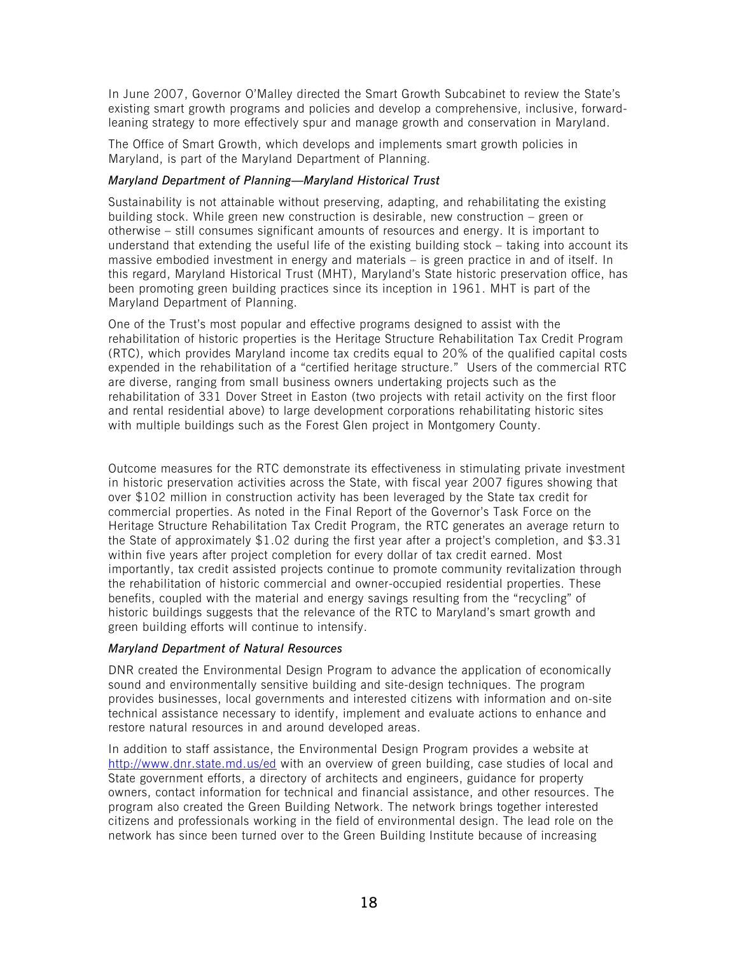In June 2007, Governor O'Malley directed the Smart Growth Subcabinet to review the State's existing smart growth programs and policies and develop a comprehensive, inclusive, forwardleaning strategy to more effectively spur and manage growth and conservation in Maryland.

The Office of Smart Growth, which develops and implements smart growth policies in Maryland, is part of the Maryland Department of Planning.

# *Maryland Department of Planning—Maryland Historical Trust*

Sustainability is not attainable without preserving, adapting, and rehabilitating the existing building stock. While green new construction is desirable, new construction – green or otherwise – still consumes significant amounts of resources and energy. It is important to understand that extending the useful life of the existing building stock – taking into account its massive embodied investment in energy and materials – is green practice in and of itself. In this regard, Maryland Historical Trust (MHT), Maryland's State historic preservation office, has been promoting green building practices since its inception in 1961. MHT is part of the Maryland Department of Planning.

One of the Trust's most popular and effective programs designed to assist with the rehabilitation of historic properties is the Heritage Structure Rehabilitation Tax Credit Program (RTC), which provides Maryland income tax credits equal to 20% of the qualified capital costs expended in the rehabilitation of a "certified heritage structure." Users of the commercial RTC are diverse, ranging from small business owners undertaking projects such as the rehabilitation of 331 Dover Street in Easton (two projects with retail activity on the first floor and rental residential above) to large development corporations rehabilitating historic sites with multiple buildings such as the Forest Glen project in Montgomery County.

Outcome measures for the RTC demonstrate its effectiveness in stimulating private investment in historic preservation activities across the State, with fiscal year 2007 figures showing that over \$102 million in construction activity has been leveraged by the State tax credit for commercial properties. As noted in the Final Report of the Governor's Task Force on the Heritage Structure Rehabilitation Tax Credit Program, the RTC generates an average return to the State of approximately \$1.02 during the first year after a project's completion, and \$3.31 within five years after project completion for every dollar of tax credit earned. Most importantly, tax credit assisted projects continue to promote community revitalization through the rehabilitation of historic commercial and owner-occupied residential properties. These benefits, coupled with the material and energy savings resulting from the "recycling" of historic buildings suggests that the relevance of the RTC to Maryland's smart growth and green building efforts will continue to intensify.

# *Maryland Department of Natural Resources*

DNR created the Environmental Design Program to advance the application of economically sound and environmentally sensitive building and site-design techniques. The program provides businesses, local governments and interested citizens with information and on-site technical assistance necessary to identify, implement and evaluate actions to enhance and restore natural resources in and around developed areas.

In addition to staff assistance, the Environmental Design Program provides a website at <http://www.dnr.state.md.us/ed>with an overview of green building, case studies of local and State government efforts, a directory of architects and engineers, guidance for property owners, contact information for technical and financial assistance, and other resources. The program also created the Green Building Network. The network brings together interested citizens and professionals working in the field of environmental design. The lead role on the network has since been turned over to the Green Building Institute because of increasing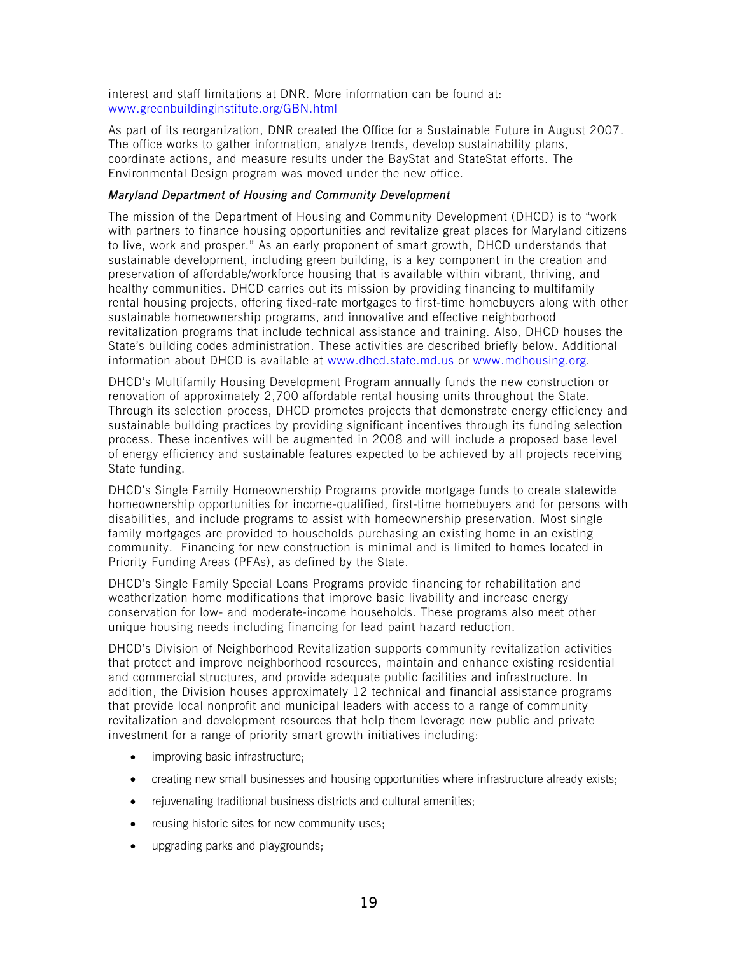interest and staff limitations at DNR. More information can be found at: [www.greenbuildinginstitute.org/GBN.html](http://www.greenbuildinginstitute.org/GBN.html)

As part of its reorganization, DNR created the Office for a Sustainable Future in August 2007. The office works to gather information, analyze trends, develop sustainability plans, coordinate actions, and measure results under the BayStat and StateStat efforts. The Environmental Design program was moved under the new office.

### *Maryland Department of Housing and Community Development*

The mission of the Department of Housing and Community Development (DHCD) is to "work with partners to finance housing opportunities and revitalize great places for Maryland citizens to live, work and prosper." As an early proponent of smart growth, DHCD understands that sustainable development, including green building, is a key component in the creation and preservation of affordable/workforce housing that is available within vibrant, thriving, and healthy communities. DHCD carries out its mission by providing financing to multifamily rental housing projects, offering fixed-rate mortgages to first-time homebuyers along with other sustainable homeownership programs, and innovative and effective neighborhood revitalization programs that include technical assistance and training. Also, DHCD houses the State's building codes administration. These activities are described briefly below. Additional information about DHCD is available at [www.dhcd.state.md.us](http://www.dhcd.state.md.us/) or [www.mdhousing.org.](http://www.mdhousing.org/)

DHCD's Multifamily Housing Development Program annually funds the new construction or renovation of approximately 2,700 affordable rental housing units throughout the State. Through its selection process, DHCD promotes projects that demonstrate energy efficiency and sustainable building practices by providing significant incentives through its funding selection process. These incentives will be augmented in 2008 and will include a proposed base level of energy efficiency and sustainable features expected to be achieved by all projects receiving State funding.

DHCD's Single Family Homeownership Programs provide mortgage funds to create statewide homeownership opportunities for income-qualified, first-time homebuyers and for persons with disabilities, and include programs to assist with homeownership preservation. Most single family mortgages are provided to households purchasing an existing home in an existing community. Financing for new construction is minimal and is limited to homes located in Priority Funding Areas (PFAs), as defined by the State.

DHCD's Single Family Special Loans Programs provide financing for rehabilitation and weatherization home modifications that improve basic livability and increase energy conservation for low- and moderate-income households. These programs also meet other unique housing needs including financing for lead paint hazard reduction.

DHCD's Division of Neighborhood Revitalization supports community revitalization activities that protect and improve neighborhood resources, maintain and enhance existing residential and commercial structures, and provide adequate public facilities and infrastructure. In addition, the Division houses approximately 12 technical and financial assistance programs that provide local nonprofit and municipal leaders with access to a range of community revitalization and development resources that help them leverage new public and private investment for a range of priority smart growth initiatives including:

- improving basic infrastructure;
- creating new small businesses and housing opportunities where infrastructure already exists;
- rejuvenating traditional business districts and cultural amenities;
- reusing historic sites for new community uses:
- upgrading parks and playgrounds;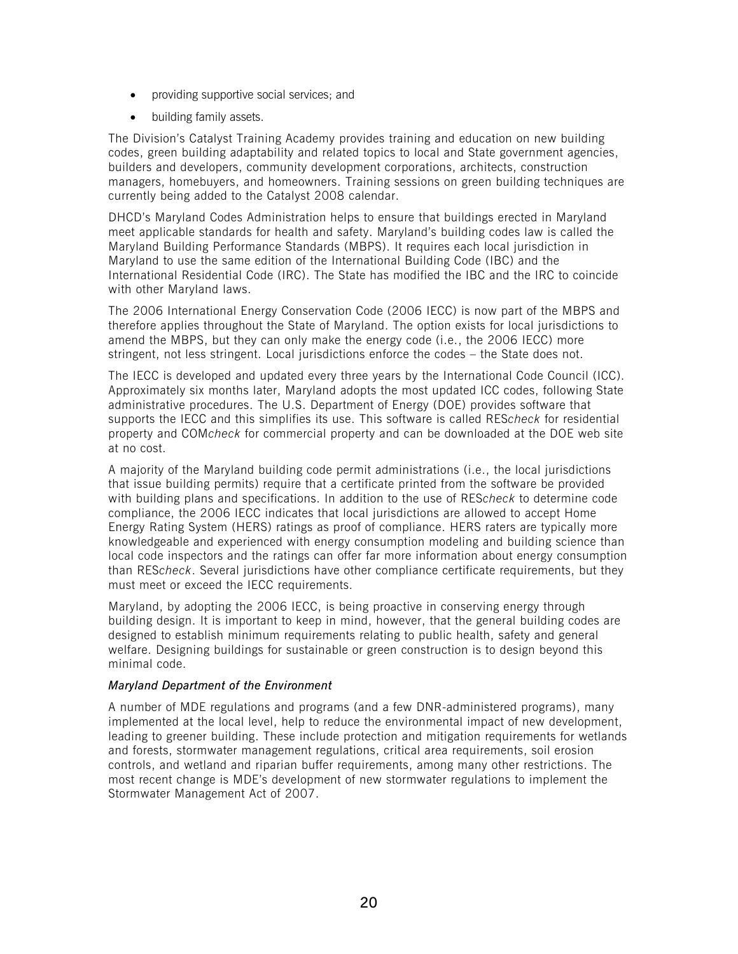- providing supportive social services; and
- building family assets.

The Division's Catalyst Training Academy provides training and education on new building codes, green building adaptability and related topics to local and State government agencies, builders and developers, community development corporations, architects, construction managers, homebuyers, and homeowners. Training sessions on green building techniques are currently being added to the Catalyst 2008 calendar.

DHCD's Maryland Codes Administration helps to ensure that buildings erected in Maryland meet applicable standards for health and safety. Maryland's building codes law is called the Maryland Building Performance Standards (MBPS). It requires each local jurisdiction in Maryland to use the same edition of the International Building Code (IBC) and the International Residential Code (IRC). The State has modified the IBC and the IRC to coincide with other Maryland laws.

The 2006 International Energy Conservation Code (2006 IECC) is now part of the MBPS and therefore applies throughout the State of Maryland. The option exists for local jurisdictions to amend the MBPS, but they can only make the energy code (i.e., the 2006 IECC) more stringent, not less stringent. Local jurisdictions enforce the codes – the State does not.

The IECC is developed and updated every three years by the International Code Council (ICC). Approximately six months later, Maryland adopts the most updated ICC codes, following State administrative procedures. The U.S. Department of Energy (DOE) provides software that supports the IECC and this simplifies its use. This software is called RES*check* for residential property and COM*check* for commercial property and can be downloaded at the DOE web site at no cost.

A majority of the Maryland building code permit administrations (i.e., the local jurisdictions that issue building permits) require that a certificate printed from the software be provided with building plans and specifications. In addition to the use of RES*check* to determine code compliance, the 2006 IECC indicates that local jurisdictions are allowed to accept Home Energy Rating System (HERS) ratings as proof of compliance. HERS raters are typically more knowledgeable and experienced with energy consumption modeling and building science than local code inspectors and the ratings can offer far more information about energy consumption than RES*check*. Several jurisdictions have other compliance certificate requirements, but they must meet or exceed the IECC requirements.

Maryland, by adopting the 2006 IECC, is being proactive in conserving energy through building design. It is important to keep in mind, however, that the general building codes are designed to establish minimum requirements relating to public health, safety and general welfare. Designing buildings for sustainable or green construction is to design beyond this minimal code.

# *Maryland Department of the Environment*

A number of MDE regulations and programs (and a few DNR-administered programs), many implemented at the local level, help to reduce the environmental impact of new development, leading to greener building. These include protection and mitigation requirements for wetlands and forests, stormwater management regulations, critical area requirements, soil erosion controls, and wetland and riparian buffer requirements, among many other restrictions. The most recent change is MDE's development of new stormwater regulations to implement the Stormwater Management Act of 2007.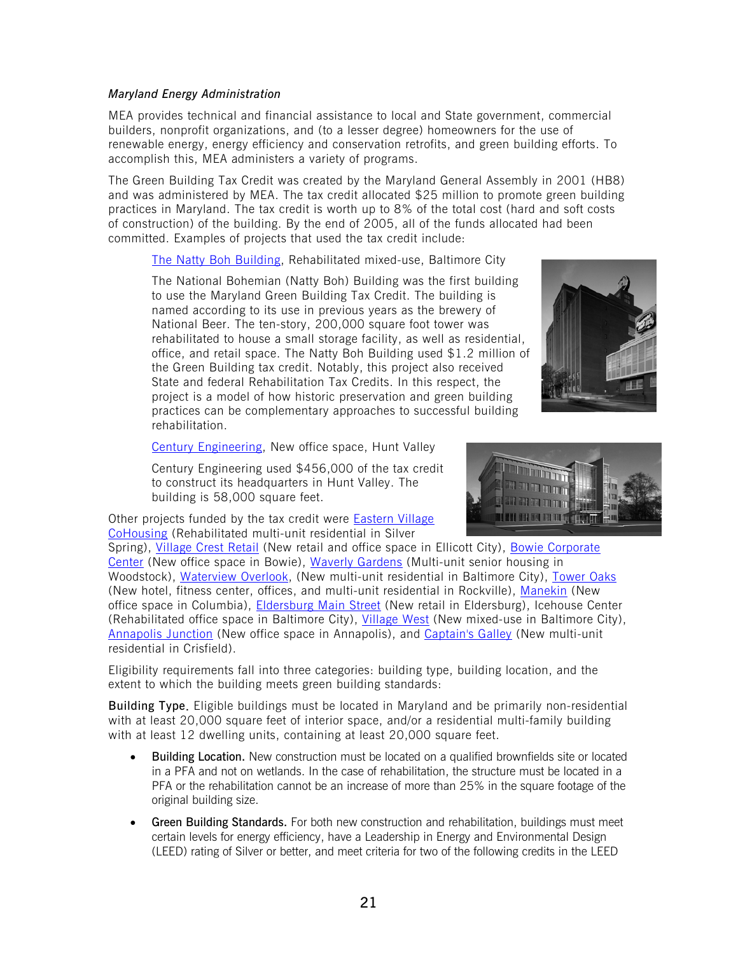### *Maryland Energy Administration*

MEA provides technical and financial assistance to local and State government, commercial builders, nonprofit organizations, and (to a lesser degree) homeowners for the use of renewable energy, energy efficiency and conservation retrofits, and green building efforts. To accomplish this, MEA administers a variety of programs.

The Green Building Tax Credit was created by the Maryland General Assembly in 2001 (HB8) and was administered by MEA. The tax credit allocated \$25 million to promote green building practices in Maryland. The tax credit is worth up to 8% of the total cost (hard and soft costs of construction) of the building. By the end of 2005, all of the funds allocated had been committed. Examples of projects that used the tax credit include:

[The Natty Boh Building,](http://www.energy.state.md.us/programs/commercial/greenbuilding/images/natty_boh.pdf) Rehabilitated mixed-use, Baltimore City

The National Bohemian (Natty Boh) Building was the first building to use the Maryland Green Building Tax Credit. The building is named according to its use in previous years as the brewery of National Beer. The ten-story, 200,000 square foot tower was rehabilitated to house a small storage facility, as well as residential, office, and retail space. The Natty Boh Building used \$1.2 million of the Green Building tax credit. Notably, this project also received State and federal Rehabilitation Tax Credits. In this respect, the project is a model of how historic preservation and green building practices can be complementary approaches to successful building rehabilitation.



[Century Engineering,](http://www.energy.state.md.us/programs/commercial/greenbuilding/images/century.pdf) New office space, Hunt Valley

Century Engineering used \$456,000 of the tax credit to construct its headquarters in Hunt Valley. The building is 58,000 square feet.

Other projects funded by the tax credit were [Eastern Village](http://www.energy.state.md.us/programs/commercial/greenbuilding/images/eastern_village.jpg)  [CoHousing](http://www.energy.state.md.us/programs/commercial/greenbuilding/images/eastern_village.jpg) (Rehabilitated multi-unit residential in Silver



Spring), [Village Crest Retail](http://www.energy.state.md.us/programs/commercial/greenbuilding/images/village_crest.jpg) (New retail and office space in Ellicott City), [Bowie Corporate](http://www.energy.state.md.us/programs/commercial/greenbuilding/images/bowie_center_sm.jpg) [Center](http://www.energy.state.md.us/programs/commercial/greenbuilding/images/bowie_center_sm.jpg) (New office space in Bowie), [Waverly Gardens](http://www.energy.state.md.us/programs/commercial/greenbuilding/images/waverly_gardens.jpg) (Multi-unit senior housing in Woodstock), [Waterview Overlook](http://www.energy.state.md.us/programs/commercial/greenbuilding/images/waterview.jpg), (New multi-unit residential in Baltimore City), [Tower Oaks](http://www.energy.state.md.us/programs/commercial/greenbuilding/images/tower_oaks.jpg) (New hotel, fitness center, offices, and multi-unit residential in Rockville), [Manekin](http://www.energy.state.md.us/programs/commercial/greenbuilding/images/manekin.jpg) (New office space in Columbia), [Eldersburg Main Street](http://www.energy.state.md.us/programs/commercial/greenbuilding/images/eldersburg.jpg) (New retail in Eldersburg), Icehouse Center (Rehabilitated office space in Baltimore City), [Village West](http://www.energy.state.md.us/programs/commercial/greenbuilding/images/charles_village_west.jpg) (New mixed-use in Baltimore City), [Annapolis Junction](http://www.energy.state.md.us/programs/commercial/greenbuilding/images/annapolis_junction.pdf) (New office space in Annapolis), and [Captain's Galley](http://www.energy.state.md.us/programs/commercial/greenbuilding/images/captains_galley.jpg) (New multi-unit residential in Crisfield).

Eligibility requirements fall into three categories: building type, building location, and the extent to which the building meets green building standards:

Building Type. Eligible buildings must be located in Maryland and be primarily non-residential with at least 20,000 square feet of interior space, and/or a residential multi-family building with at least 12 dwelling units, containing at least 20,000 square feet.

- Building Location. New construction must be located on a qualified brownfields site or located in a PFA and not on wetlands. In the case of rehabilitation, the structure must be located in a PFA or the rehabilitation cannot be an increase of more than 25% in the square footage of the original building size.
- Green Building Standards. For both new construction and rehabilitation, buildings must meet certain levels for energy efficiency, have a Leadership in Energy and Environmental Design (LEED) rating of Silver or better, and meet criteria for two of the following credits in the LEED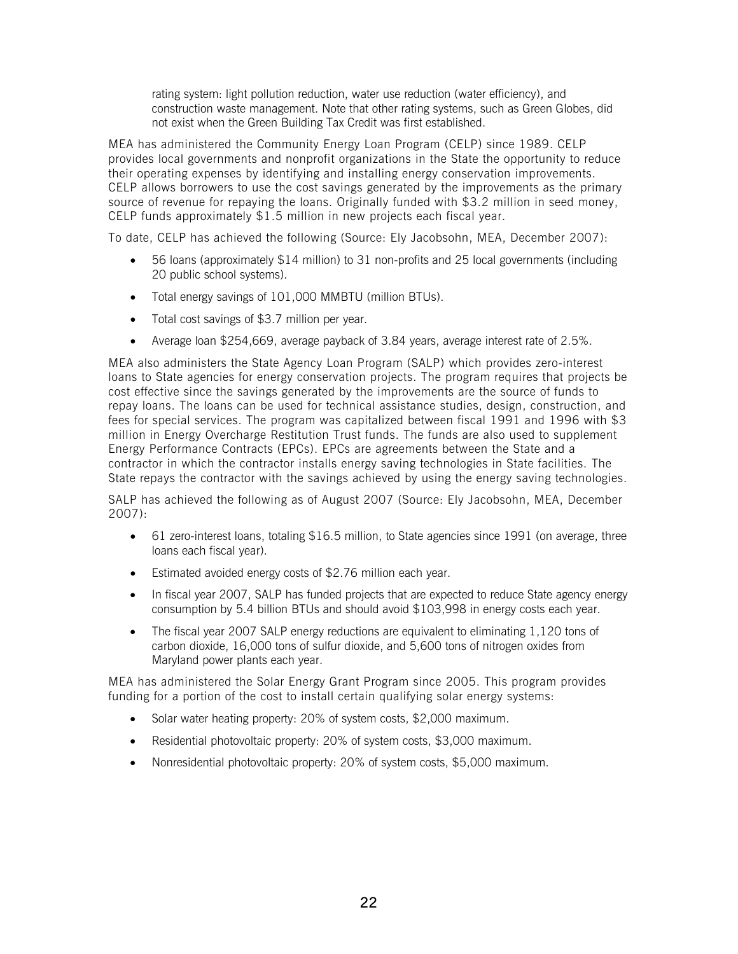rating system: light pollution reduction, water use reduction (water efficiency), and construction waste management. Note that other rating systems, such as Green Globes, did not exist when the Green Building Tax Credit was first established.

MEA has administered the Community Energy Loan Program (CELP) since 1989. CELP provides local governments and nonprofit organizations in the State the opportunity to reduce their operating expenses by identifying and installing energy conservation improvements. CELP allows borrowers to use the cost savings generated by the improvements as the primary source of revenue for repaying the loans. Originally funded with \$3.2 million in seed money, CELP funds approximately \$1.5 million in new projects each fiscal year.

To date, CELP has achieved the following (Source: Ely Jacobsohn, MEA, December 2007):

- 56 loans (approximately \$14 million) to 31 non-profits and 25 local governments (including 20 public school systems).
- Total energy savings of 101,000 MMBTU (million BTUs).
- Total cost savings of \$3.7 million per year.
- Average loan \$254,669, average payback of 3.84 years, average interest rate of 2.5%.

MEA also administers the State Agency Loan Program (SALP) which provides zero-interest loans to State agencies for energy conservation projects. The program requires that projects be cost effective since the savings generated by the improvements are the source of funds to repay loans. The loans can be used for technical assistance studies, design, construction, and fees for special services. The program was capitalized between fiscal 1991 and 1996 with \$3 million in Energy Overcharge Restitution Trust funds. The funds are also used to supplement Energy Performance Contracts (EPCs). EPCs are agreements between the State and a contractor in which the contractor installs energy saving technologies in State facilities. The State repays the contractor with the savings achieved by using the energy saving technologies.

SALP has achieved the following as of August 2007 (Source: Ely Jacobsohn, MEA, December 2007):

- 61 zero-interest loans, totaling \$16.5 million, to State agencies since 1991 (on average, three loans each fiscal year).
- Estimated avoided energy costs of \$2.76 million each year.
- In fiscal year 2007, SALP has funded projects that are expected to reduce State agency energy consumption by 5.4 billion BTUs and should avoid \$103,998 in energy costs each year.
- The fiscal year 2007 SALP energy reductions are equivalent to eliminating 1,120 tons of carbon dioxide, 16,000 tons of sulfur dioxide, and 5,600 tons of nitrogen oxides from Maryland power plants each year.

MEA has administered the Solar Energy Grant Program since 2005. This program provides funding for a portion of the cost to install certain qualifying solar energy systems:

- Solar water heating property: 20% of system costs, \$2,000 maximum.
- Residential photovoltaic property: 20% of system costs, \$3,000 maximum.
- Nonresidential photovoltaic property: 20% of system costs, \$5,000 maximum.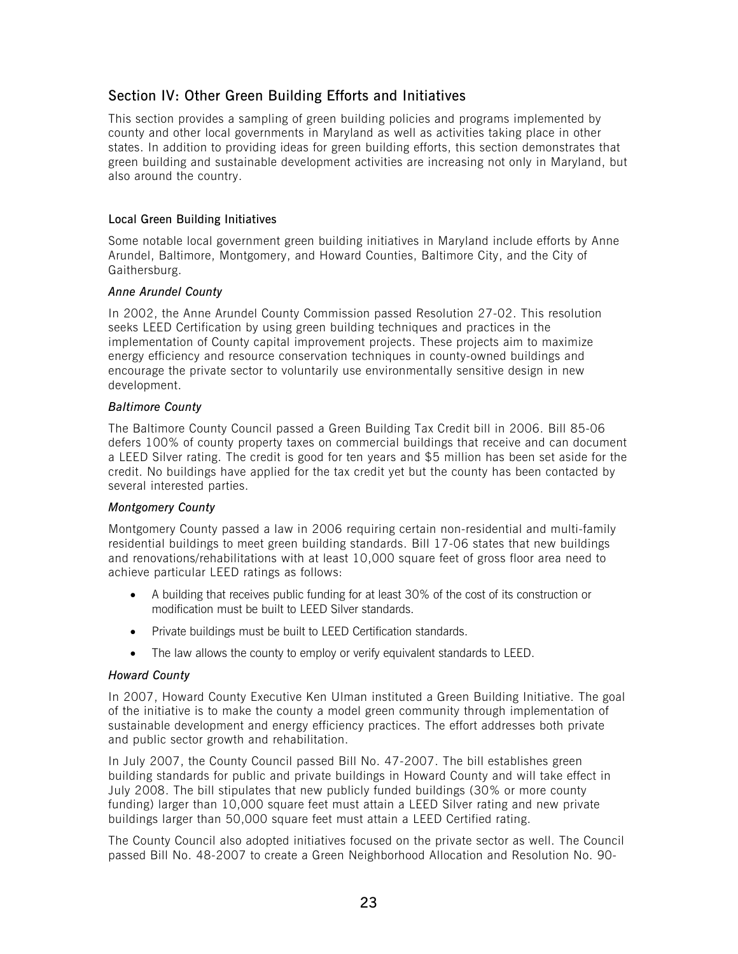# <span id="page-23-0"></span>Section IV: Other Green Building Efforts and Initiatives

This section provides a sampling of green building policies and programs implemented by county and other local governments in Maryland as well as activities taking place in other states. In addition to providing ideas for green building efforts, this section demonstrates that green building and sustainable development activities are increasing not only in Maryland, but also around the country.

# Local Green Building Initiatives

Some notable local government green building initiatives in Maryland include efforts by Anne Arundel, Baltimore, Montgomery, and Howard Counties, Baltimore City, and the City of Gaithersburg.

# *Anne Arundel County*

In 2002, the Anne Arundel County Commission passed Resolution 27-02. This resolution seeks LEED Certification by using green building techniques and practices in the implementation of County capital improvement projects. These projects aim to maximize energy efficiency and resource conservation techniques in county-owned buildings and encourage the private sector to voluntarily use environmentally sensitive design in new development.

# *Baltimore County*

The Baltimore County Council passed a Green Building Tax Credit bill in 2006. Bill 85-06 defers 100% of county property taxes on commercial buildings that receive and can document a LEED Silver rating. The credit is good for ten years and \$5 million has been set aside for the credit. No buildings have applied for the tax credit yet but the county has been contacted by several interested parties.

# *Montgomery County*

Montgomery County passed a law in 2006 requiring certain non-residential and multi-family residential buildings to meet green building standards. Bill 17-06 states that new buildings and renovations/rehabilitations with at least 10,000 square feet of gross floor area need to achieve particular LEED ratings as follows:

- A building that receives public funding for at least 30% of the cost of its construction or modification must be built to LEED Silver standards.
- Private buildings must be built to LEED Certification standards.
- The law allows the county to employ or verify equivalent standards to LEED.

# *Howard County*

In 2007, Howard County Executive Ken Ulman instituted a Green Building Initiative. The goal of the initiative is to make the county a model green community through implementation of sustainable development and energy efficiency practices. The effort addresses both private and public sector growth and rehabilitation.

In July 2007, the County Council passed Bill No. 47-2007. The bill establishes green building standards for public and private buildings in Howard County and will take effect in July 2008. The bill stipulates that new publicly funded buildings (30% or more county funding) larger than 10,000 square feet must attain a LEED Silver rating and new private buildings larger than 50,000 square feet must attain a LEED Certified rating.

The County Council also adopted initiatives focused on the private sector as well. The Council passed Bill No. 48-2007 to create a Green Neighborhood Allocation and Resolution No. 90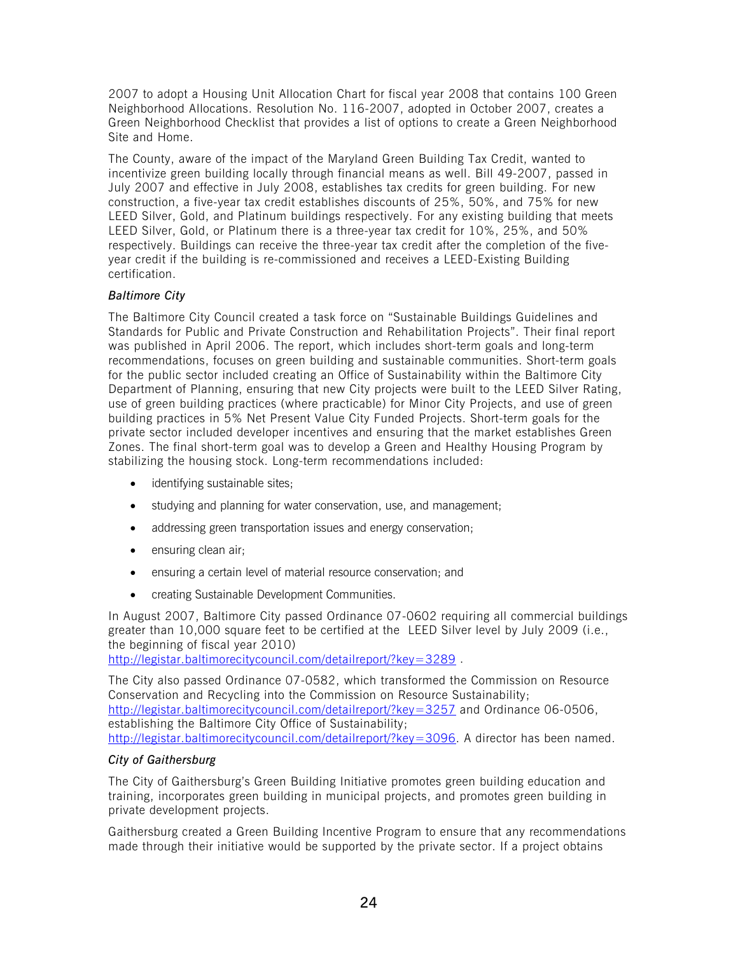2007 to adopt a Housing Unit Allocation Chart for fiscal year 2008 that contains 100 Green Neighborhood Allocations. Resolution No. 116-2007, adopted in October 2007, creates a Green Neighborhood Checklist that provides a list of options to create a Green Neighborhood Site and Home.

The County, aware of the impact of the Maryland Green Building Tax Credit, wanted to incentivize green building locally through financial means as well. Bill 49-2007, passed in July 2007 and effective in July 2008, establishes tax credits for green building. For new construction, a five-year tax credit establishes discounts of 25%, 50%, and 75% for new LEED Silver, Gold, and Platinum buildings respectively. For any existing building that meets LEED Silver, Gold, or Platinum there is a three-year tax credit for 10%, 25%, and 50% respectively. Buildings can receive the three-year tax credit after the completion of the fiveyear credit if the building is re-commissioned and receives a LEED-Existing Building certification.

# *Baltimore City*

The Baltimore City Council created a task force on "Sustainable Buildings Guidelines and Standards for Public and Private Construction and Rehabilitation Projects". Their final report was published in April 2006. The report, which includes short-term goals and long-term recommendations, focuses on green building and sustainable communities. Short-term goals for the public sector included creating an Office of Sustainability within the Baltimore City Department of Planning, ensuring that new City projects were built to the LEED Silver Rating, use of green building practices (where practicable) for Minor City Projects, and use of green building practices in 5% Net Present Value City Funded Projects. Short-term goals for the private sector included developer incentives and ensuring that the market establishes Green Zones. The final short-term goal was to develop a Green and Healthy Housing Program by stabilizing the housing stock. Long-term recommendations included:

- identifying sustainable sites;
- studying and planning for water conservation, use, and management:
- addressing green transportation issues and energy conservation;
- ensuring clean air;
- ensuring a certain level of material resource conservation; and
- creating Sustainable Development Communities.

In August 2007, Baltimore City passed Ordinance 07-0602 requiring all commercial buildings greater than 10,000 square feet to be certified at the LEED Silver level by July 2009 (i.e., the beginning of fiscal year 2010)

<http://legistar.baltimorecitycouncil.com/detailreport/?key=3289>.

The City also passed Ordinance 07-0582, which transformed the Commission on Resource Conservation and Recycling into the Commission on Resource Sustainability; <http://legistar.baltimorecitycouncil.com/detailreport/?key=3257> and Ordinance 06-0506, establishing the Baltimore City Office of Sustainability; <http://legistar.baltimorecitycouncil.com/detailreport/?key=3096>. A director has been named.

# *City of Gaithersburg*

The City of Gaithersburg's Green Building Initiative promotes green building education and training, incorporates green building in municipal projects, and promotes green building in private development projects.

Gaithersburg created a Green Building Incentive Program to ensure that any recommendations made through their initiative would be supported by the private sector. If a project obtains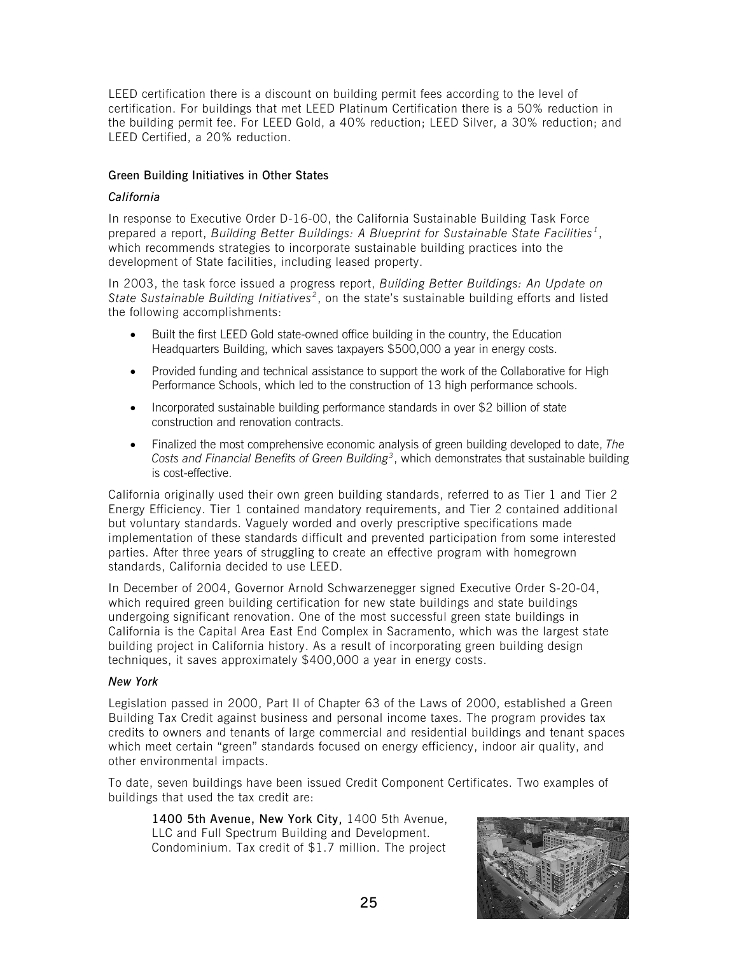LEED certification there is a discount on building permit fees according to the level of certification. For buildings that met LEED Platinum Certification there is a 50% reduction in the building permit fee. For LEED Gold, a 40% reduction; LEED Silver, a 30% reduction; and LEED Certified, a 20% reduction.

# Green Building Initiatives in Other States

### *California*

In response to Executive Order D-16-00, the California Sustainable Building Task Force prepared a report, *Building Better Buildings: A Blueprint for Sustainable State Facilities [1](#page-34-1)*, which recommends strategies to incorporate sustainable building practices into the development of State facilities, including leased property.

In 2003, the task force issued a progress report, *Building Better Buildings: An Update on*  State Sustainable Building Initiatives<sup>[2](#page-34-2)</sup>, on the state's sustainable building efforts and listed the following accomplishments:

- Built the first LEED Gold state-owned office building in the country, the Education Headquarters Building, which saves taxpayers \$500,000 a year in energy costs.
- Provided funding and technical assistance to support the work of the Collaborative for High Performance Schools, which led to the construction of 13 high performance schools.
- Incorporated sustainable building performance standards in over \$2 billion of state construction and renovation contracts.
- Finalized the most comprehensive economic analysis of green building developed to date, *The Costs and Financial Benefits of Green Building[3](#page-34-2)*, which demonstrates that sustainable building is cost-effective.

California originally used their own green building standards, referred to as Tier 1 and Tier 2 Energy Efficiency. Tier 1 contained mandatory requirements, and Tier 2 contained additional but voluntary standards. Vaguely worded and overly prescriptive specifications made implementation of these standards difficult and prevented participation from some interested parties. After three years of struggling to create an effective program with homegrown standards, California decided to use LEED.

In December of 2004, Governor Arnold Schwarzenegger signed Executive Order S-20-04, which required green building certification for new state buildings and state buildings undergoing significant renovation. One of the most successful green state buildings in California is the Capital Area East End Complex in Sacramento, which was the largest state building project in California history. As a result of incorporating green building design techniques, it saves approximately \$400,000 a year in energy costs.

#### *New York*

Legislation passed in 2000, Part II of Chapter 63 of the Laws of 2000, established a Green Building Tax Credit against business and personal income taxes. The program provides tax credits to owners and tenants of large commercial and residential buildings and tenant spaces which meet certain "green" standards focused on energy efficiency, indoor air quality, and other environmental impacts.

To date, seven buildings have been issued Credit Component Certificates. Two examples of buildings that used the tax credit are:

1400 5th Avenue, New York City, 1400 5th Avenue, LLC and Full Spectrum Building and Development. Condominium. Tax credit of \$1.7 million. The project

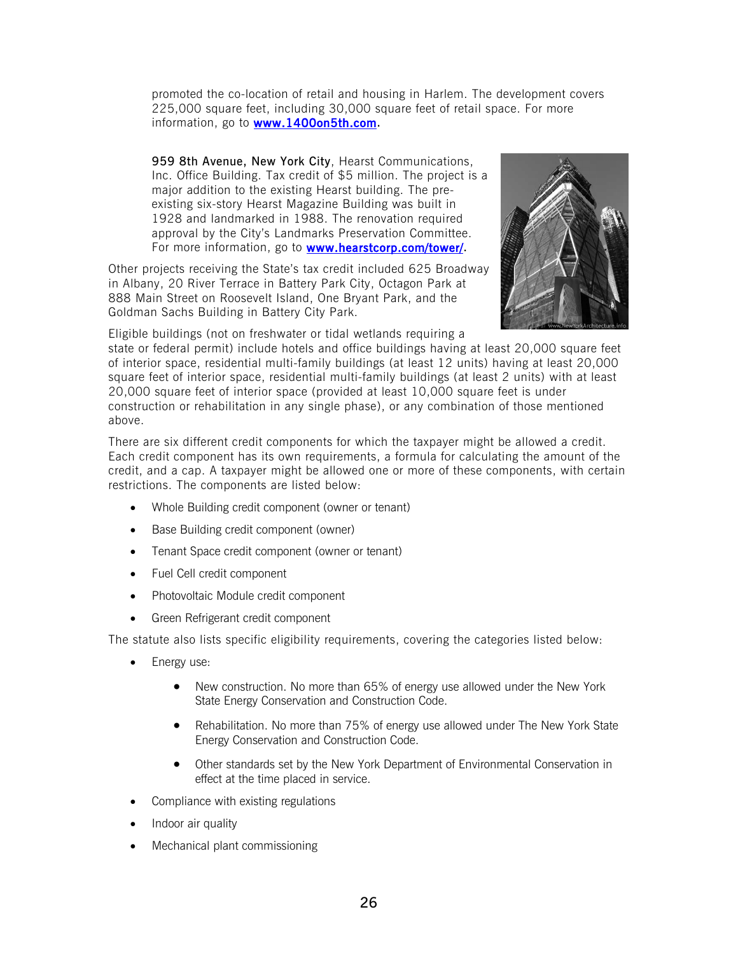promoted the co-location of retail and housing in Harlem. The development covers 225,000 square feet, including 30,000 square feet of retail space. For more information, go to [www.1400on5th.com.](http://www.1400on5th.com/)

959 8th Avenue, New York City, Hearst Communications, Inc. Office Building. Tax credit of \$5 million. The project is a major addition to the existing Hearst building. The preexisting six-story Hearst Magazine Building was built in 1928 and landmarked in 1988. The renovation required approval by the City's Landmarks Preservation Committee. For more information, go to **www.hearstcorp.com/tower/**.

Other projects receiving the State's tax credit included 625 Broadway in Albany, 20 River Terrace in Battery Park City, Octagon Park at 888 Main Street on Roosevelt Island, One Bryant Park, and the Goldman Sachs Building in Battery City Park.



Eligible buildings (not on freshwater or tidal wetlands requiring a

state or federal permit) include hotels and office buildings having at least 20,000 square feet of interior space, residential multi-family buildings (at least 12 units) having at least 20,000 square feet of interior space, residential multi-family buildings (at least 2 units) with at least 20,000 square feet of interior space (provided at least 10,000 square feet is under construction or rehabilitation in any single phase), or any combination of those mentioned above.

There are six different credit components for which the taxpayer might be allowed a credit. Each credit component has its own requirements, a formula for calculating the amount of the credit, and a cap. A taxpayer might be allowed one or more of these components, with certain restrictions. The components are listed below:

- Whole Building credit component (owner or tenant)
- Base Building credit component (owner)
- Tenant Space credit component (owner or tenant)
- Fuel Cell credit component
- Photovoltaic Module credit component
- Green Refrigerant credit component

The statute also lists specific eligibility requirements, covering the categories listed below:

- Energy use:
	- New construction. No more than 65% of energy use allowed under the New York State Energy Conservation and Construction Code.
	- Rehabilitation. No more than 75% of energy use allowed under The New York State Energy Conservation and Construction Code.
	- Other standards set by the New York Department of Environmental Conservation in effect at the time placed in service.
- Compliance with existing regulations
- Indoor air quality
- Mechanical plant commissioning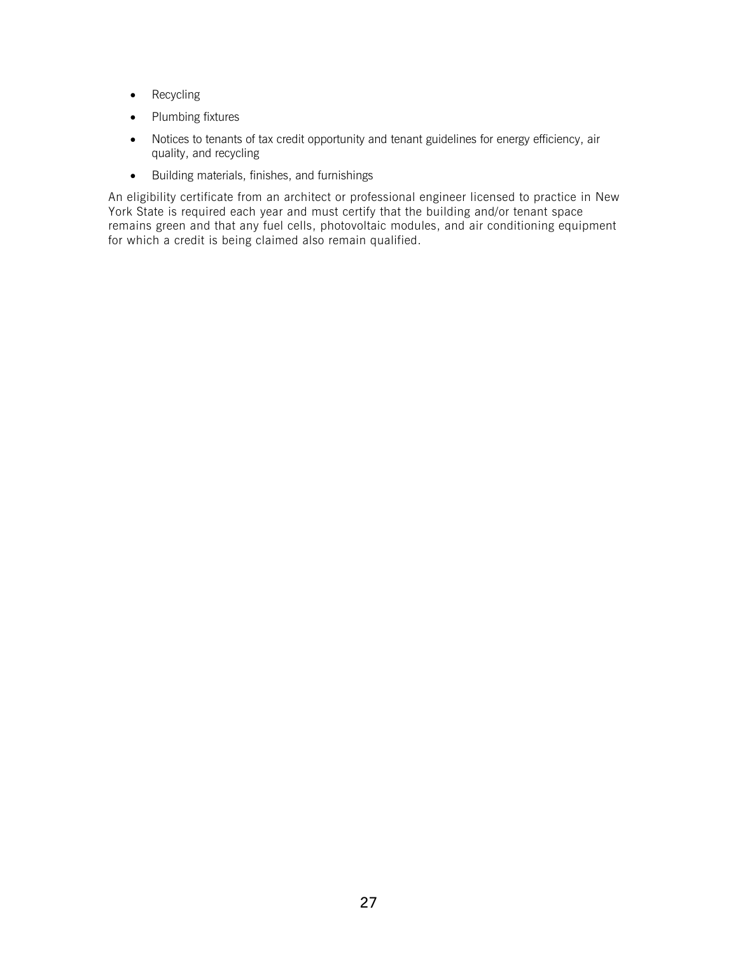- Recycling
- Plumbing fixtures
- Notices to tenants of tax credit opportunity and tenant guidelines for energy efficiency, air quality, and recycling
- Building materials, finishes, and furnishings

An eligibility certificate from an architect or professional engineer licensed to practice in New York State is required each year and must certify that the building and/or tenant space remains green and that any fuel cells, photovoltaic modules, and air conditioning equipment for which a credit is being claimed also remain qualified.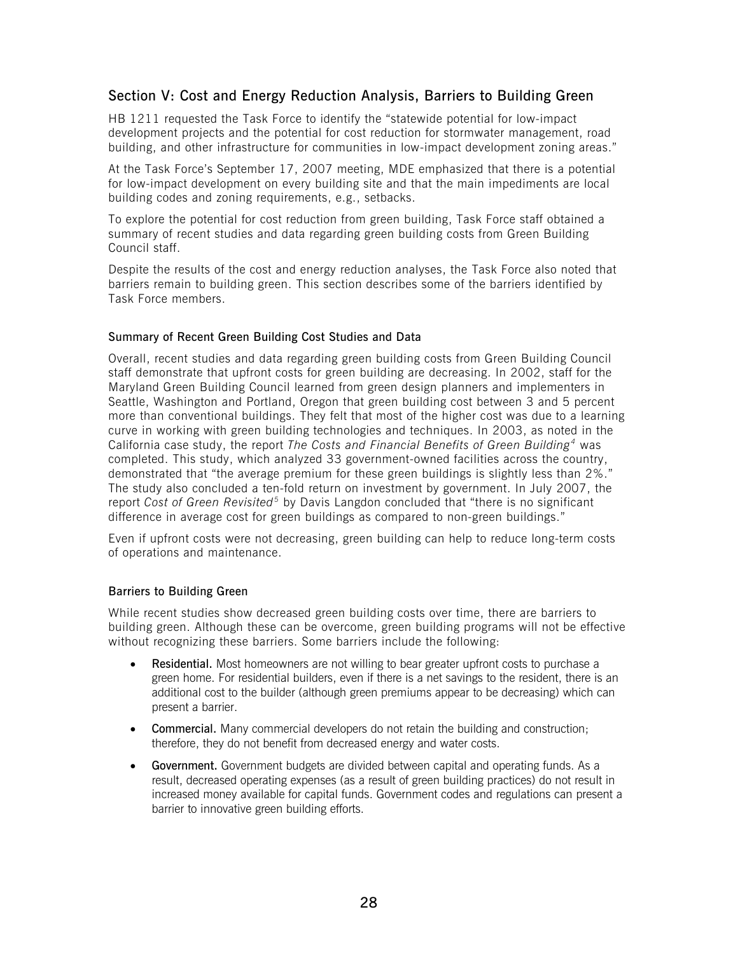# <span id="page-28-0"></span>Section V: Cost and Energy Reduction Analysis, Barriers to Building Green

HB 1211 requested the Task Force to identify the "statewide potential for low-impact development projects and the potential for cost reduction for stormwater management, road building, and other infrastructure for communities in low-impact development zoning areas."

At the Task Force's September 17, 2007 meeting, MDE emphasized that there is a potential for low-impact development on every building site and that the main impediments are local building codes and zoning requirements, e.g., setbacks.

To explore the potential for cost reduction from green building, Task Force staff obtained a summary of recent studies and data regarding green building costs from Green Building Council staff.

Despite the results of the cost and energy reduction analyses, the Task Force also noted that barriers remain to building green. This section describes some of the barriers identified by Task Force members.

### Summary of Recent Green Building Cost Studies and Data

Overall, recent studies and data regarding green building costs from Green Building Council staff demonstrate that upfront costs for green building are decreasing. In 2002, staff for the Maryland Green Building Council learned from green design planners and implementers in Seattle, Washington and Portland, Oregon that green building cost between 3 and 5 percent more than conventional buildings. They felt that most of the higher cost was due to a learning curve in working with green building technologies and techniques. In 2003, as noted in the California case study, the report *The Costs and Financial Benefits of Green Building [4](#page-34-2)* was completed. This study, which analyzed 33 government-owned facilities across the country, demonstrated that "the average premium for these green buildings is slightly less than 2%." The study also concluded a ten-fold return on investment by government. In July 2007, the report *Cost of Green Revisited*<sup>[5](#page-34-2)</sup> by Davis Langdon concluded that "there is no significant difference in average cost for green buildings as compared to non-green buildings."

Even if upfront costs were not decreasing, green building can help to reduce long-term costs of operations and maintenance.

#### Barriers to Building Green

While recent studies show decreased green building costs over time, there are barriers to building green. Although these can be overcome, green building programs will not be effective without recognizing these barriers. Some barriers include the following:

- Residential. Most homeowners are not willing to bear greater upfront costs to purchase a green home. For residential builders, even if there is a net savings to the resident, there is an additional cost to the builder (although green premiums appear to be decreasing) which can present a barrier.
- Commercial. Many commercial developers do not retain the building and construction; therefore, they do not benefit from decreased energy and water costs.
- Government. Government budgets are divided between capital and operating funds. As a result, decreased operating expenses (as a result of green building practices) do not result in increased money available for capital funds. Government codes and regulations can present a barrier to innovative green building efforts.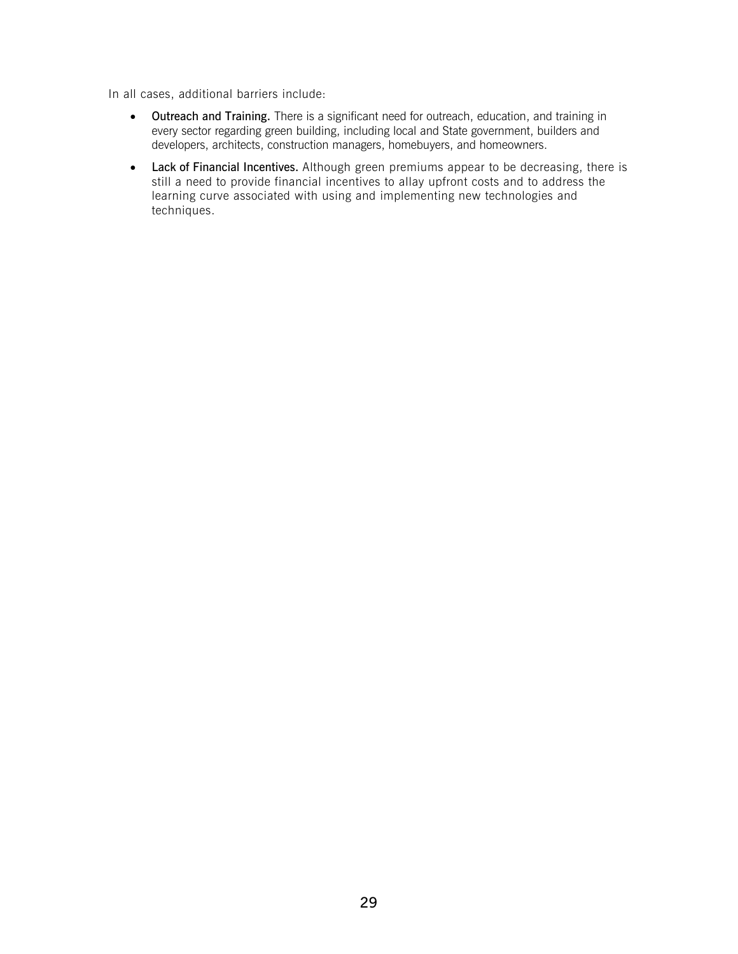In all cases, additional barriers include:

- Outreach and Training. There is a significant need for outreach, education, and training in every sector regarding green building, including local and State government, builders and developers, architects, construction managers, homebuyers, and homeowners.
- Lack of Financial Incentives. Although green premiums appear to be decreasing, there is still a need to provide financial incentives to allay upfront costs and to address the learning curve associated with using and implementing new technologies and techniques.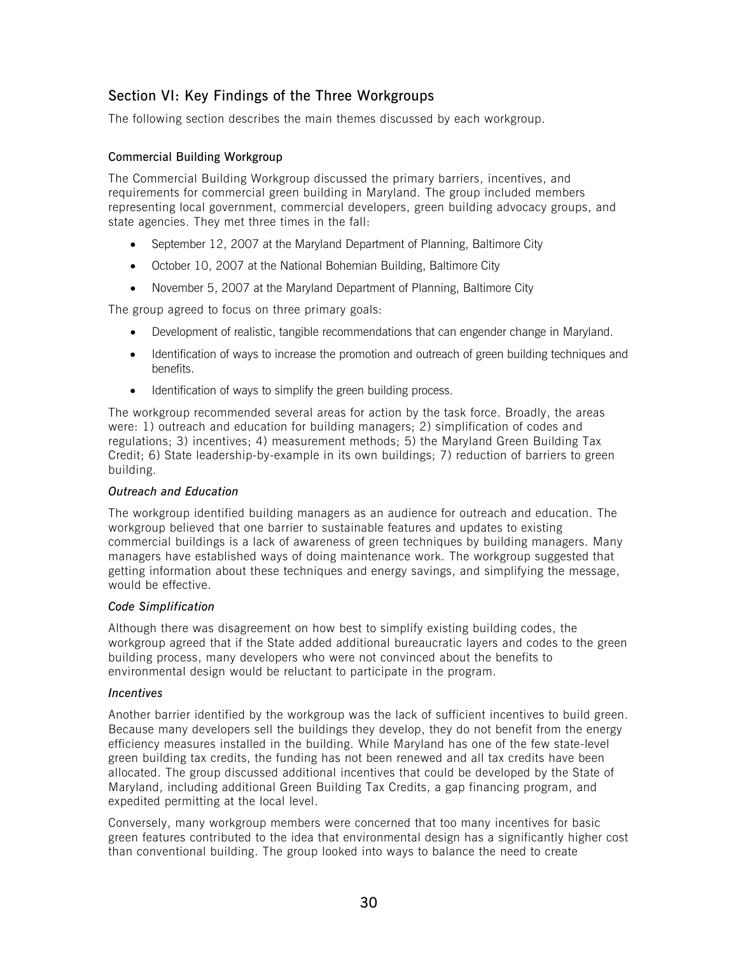# <span id="page-30-0"></span>Section VI: Key Findings of the Three Workgroups

The following section describes the main themes discussed by each workgroup.

### Commercial Building Workgroup

The Commercial Building Workgroup discussed the primary barriers, incentives, and requirements for commercial green building in Maryland. The group included members representing local government, commercial developers, green building advocacy groups, and state agencies. They met three times in the fall:

- September 12, 2007 at the Maryland Department of Planning, Baltimore City
- October 10, 2007 at the National Bohemian Building, Baltimore City
- November 5, 2007 at the Maryland Department of Planning, Baltimore City

The group agreed to focus on three primary goals:

- Development of realistic, tangible recommendations that can engender change in Maryland.
- Identification of ways to increase the promotion and outreach of green building techniques and benefits.
- Identification of ways to simplify the green building process.

The workgroup recommended several areas for action by the task force. Broadly, the areas were: 1) outreach and education for building managers; 2) simplification of codes and regulations; 3) incentives; 4) measurement methods; 5) the Maryland Green Building Tax Credit; 6) State leadership-by-example in its own buildings; 7) reduction of barriers to green building.

#### *Outreach and Education*

The workgroup identified building managers as an audience for outreach and education. The workgroup believed that one barrier to sustainable features and updates to existing commercial buildings is a lack of awareness of green techniques by building managers. Many managers have established ways of doing maintenance work. The workgroup suggested that getting information about these techniques and energy savings, and simplifying the message, would be effective.

#### *Code Simplification*

Although there was disagreement on how best to simplify existing building codes, the workgroup agreed that if the State added additional bureaucratic layers and codes to the green building process, many developers who were not convinced about the benefits to environmental design would be reluctant to participate in the program.

#### *Incentives*

Another barrier identified by the workgroup was the lack of sufficient incentives to build green. Because many developers sell the buildings they develop, they do not benefit from the energy efficiency measures installed in the building. While Maryland has one of the few state-level green building tax credits, the funding has not been renewed and all tax credits have been allocated. The group discussed additional incentives that could be developed by the State of Maryland, including additional Green Building Tax Credits, a gap financing program, and expedited permitting at the local level.

Conversely, many workgroup members were concerned that too many incentives for basic green features contributed to the idea that environmental design has a significantly higher cost than conventional building. The group looked into ways to balance the need to create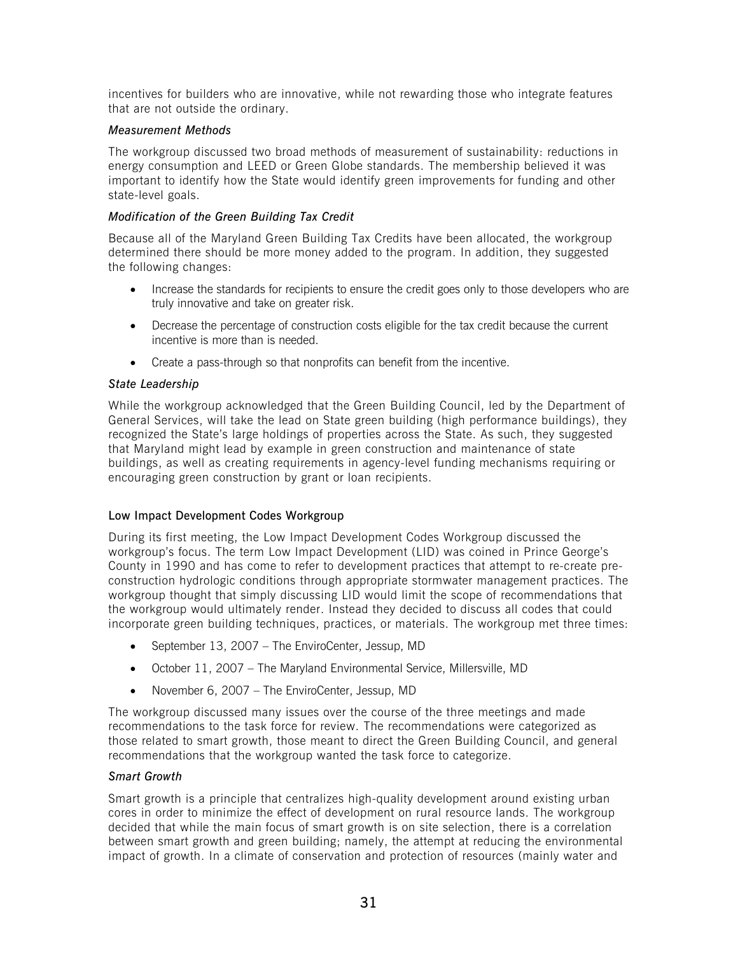incentives for builders who are innovative, while not rewarding those who integrate features that are not outside the ordinary.

### *Measurement Methods*

The workgroup discussed two broad methods of measurement of sustainability: reductions in energy consumption and LEED or Green Globe standards. The membership believed it was important to identify how the State would identify green improvements for funding and other state-level goals.

# *Modification of the Green Building Tax Credit*

Because all of the Maryland Green Building Tax Credits have been allocated, the workgroup determined there should be more money added to the program. In addition, they suggested the following changes:

- Increase the standards for recipients to ensure the credit goes only to those developers who are truly innovative and take on greater risk.
- Decrease the percentage of construction costs eligible for the tax credit because the current incentive is more than is needed.
- Create a pass-through so that nonprofits can benefit from the incentive.

### *State Leadership*

While the workgroup acknowledged that the Green Building Council, led by the Department of General Services, will take the lead on State green building (high performance buildings), they recognized the State's large holdings of properties across the State. As such, they suggested that Maryland might lead by example in green construction and maintenance of state buildings, as well as creating requirements in agency-level funding mechanisms requiring or encouraging green construction by grant or loan recipients.

### Low Impact Development Codes Workgroup

During its first meeting, the Low Impact Development Codes Workgroup discussed the workgroup's focus. The term Low Impact Development (LID) was coined in Prince George's County in 1990 and has come to refer to development practices that attempt to re-create preconstruction hydrologic conditions through appropriate stormwater management practices. The workgroup thought that simply discussing LID would limit the scope of recommendations that the workgroup would ultimately render. Instead they decided to discuss all codes that could incorporate green building techniques, practices, or materials. The workgroup met three times:

- September 13, 2007 The EnviroCenter, Jessup, MD
- October 11, 2007 The Maryland Environmental Service, Millersville, MD
- November 6, 2007 The EnviroCenter, Jessup, MD

The workgroup discussed many issues over the course of the three meetings and made recommendations to the task force for review. The recommendations were categorized as those related to smart growth, those meant to direct the Green Building Council, and general recommendations that the workgroup wanted the task force to categorize.

#### *Smart Growth*

Smart growth is a principle that centralizes high-quality development around existing urban cores in order to minimize the effect of development on rural resource lands. The workgroup decided that while the main focus of smart growth is on site selection, there is a correlation between smart growth and green building; namely, the attempt at reducing the environmental impact of growth. In a climate of conservation and protection of resources (mainly water and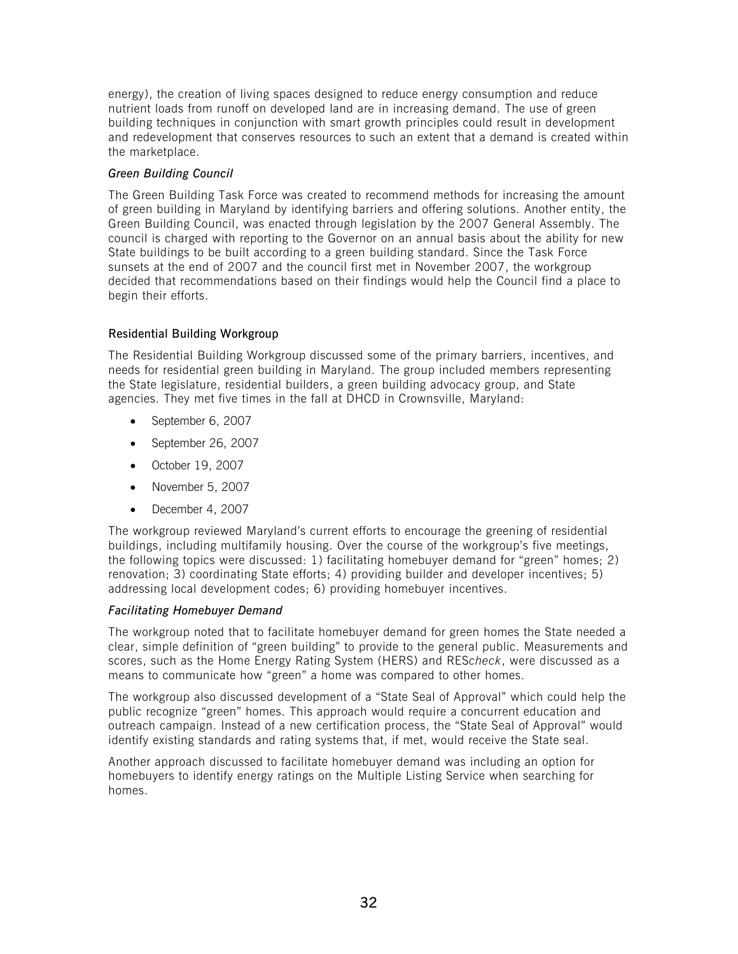energy), the creation of living spaces designed to reduce energy consumption and reduce nutrient loads from runoff on developed land are in increasing demand. The use of green building techniques in conjunction with smart growth principles could result in development and redevelopment that conserves resources to such an extent that a demand is created within the marketplace.

# *Green Building Council*

The Green Building Task Force was created to recommend methods for increasing the amount of green building in Maryland by identifying barriers and offering solutions. Another entity, the Green Building Council, was enacted through legislation by the 2007 General Assembly. The council is charged with reporting to the Governor on an annual basis about the ability for new State buildings to be built according to a green building standard. Since the Task Force sunsets at the end of 2007 and the council first met in November 2007, the workgroup decided that recommendations based on their findings would help the Council find a place to begin their efforts.

# Residential Building Workgroup

The Residential Building Workgroup discussed some of the primary barriers, incentives, and needs for residential green building in Maryland. The group included members representing the State legislature, residential builders, a green building advocacy group, and State agencies. They met five times in the fall at DHCD in Crownsville, Maryland:

- September 6, 2007
- September 26, 2007
- October 19, 2007
- November 5, 2007
- December 4, 2007

The workgroup reviewed Maryland's current efforts to encourage the greening of residential buildings, including multifamily housing. Over the course of the workgroup's five meetings, the following topics were discussed: 1) facilitating homebuyer demand for "green" homes; 2) renovation; 3) coordinating State efforts; 4) providing builder and developer incentives; 5) addressing local development codes; 6) providing homebuyer incentives.

# *Facilitating Homebuyer Demand*

The workgroup noted that to facilitate homebuyer demand for green homes the State needed a clear, simple definition of "green building" to provide to the general public. Measurements and scores, such as the Home Energy Rating System (HERS) and RES*check*, were discussed as a means to communicate how "green" a home was compared to other homes.

The workgroup also discussed development of a "State Seal of Approval" which could help the public recognize "green" homes. This approach would require a concurrent education and outreach campaign. Instead of a new certification process, the "State Seal of Approval" would identify existing standards and rating systems that, if met, would receive the State seal.

Another approach discussed to facilitate homebuyer demand was including an option for homebuyers to identify energy ratings on the Multiple Listing Service when searching for homes.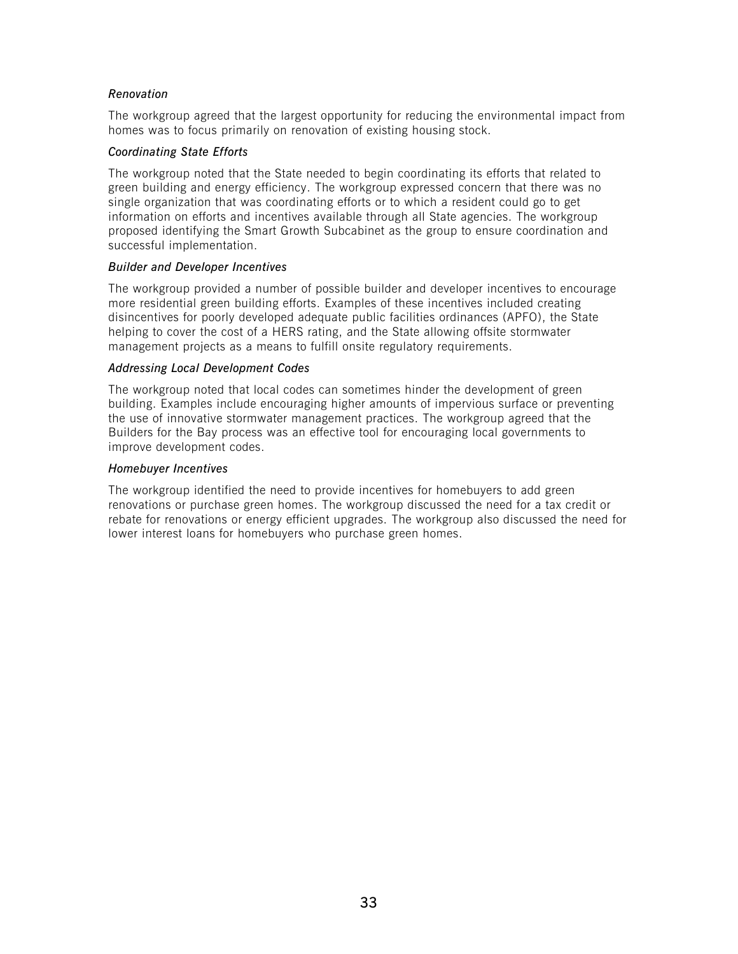### *Renovation*

The workgroup agreed that the largest opportunity for reducing the environmental impact from homes was to focus primarily on renovation of existing housing stock.

#### *Coordinating State Efforts*

The workgroup noted that the State needed to begin coordinating its efforts that related to green building and energy efficiency. The workgroup expressed concern that there was no single organization that was coordinating efforts or to which a resident could go to get information on efforts and incentives available through all State agencies. The workgroup proposed identifying the Smart Growth Subcabinet as the group to ensure coordination and successful implementation.

#### *Builder and Developer Incentives*

The workgroup provided a number of possible builder and developer incentives to encourage more residential green building efforts. Examples of these incentives included creating disincentives for poorly developed adequate public facilities ordinances (APFO), the State helping to cover the cost of a HERS rating, and the State allowing offsite stormwater management projects as a means to fulfill onsite regulatory requirements.

### *Addressing Local Development Codes*

The workgroup noted that local codes can sometimes hinder the development of green building. Examples include encouraging higher amounts of impervious surface or preventing the use of innovative stormwater management practices. The workgroup agreed that the Builders for the Bay process was an effective tool for encouraging local governments to improve development codes.

### *Homebuyer Incentives*

The workgroup identified the need to provide incentives for homebuyers to add green renovations or purchase green homes. The workgroup discussed the need for a tax credit or rebate for renovations or energy efficient upgrades. The workgroup also discussed the need for lower interest loans for homebuyers who purchase green homes.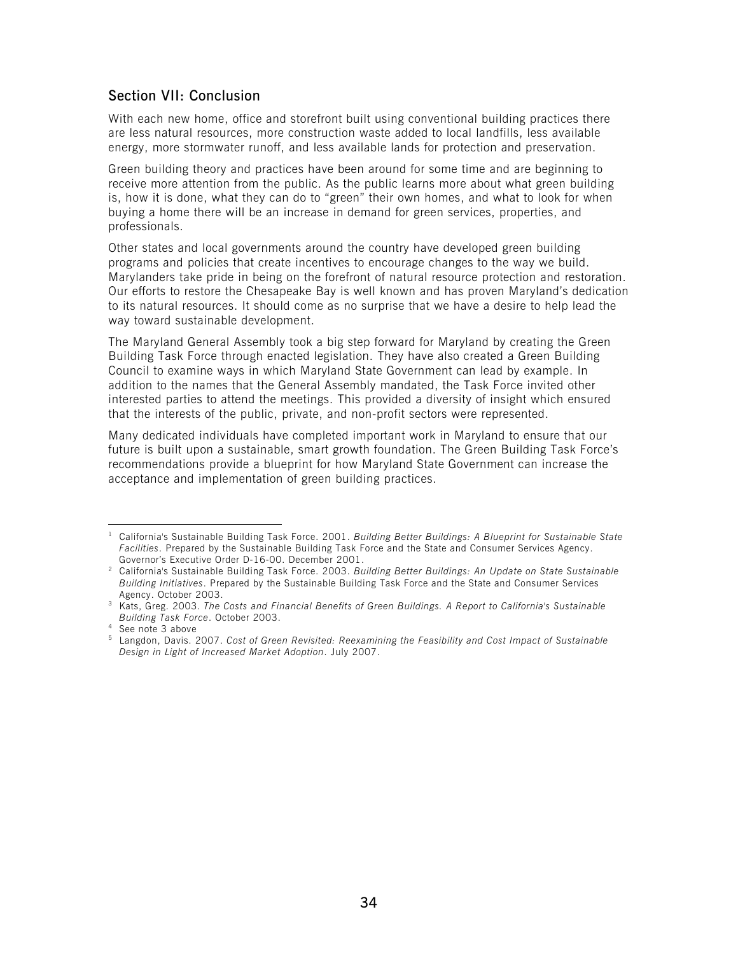# <span id="page-34-2"></span><span id="page-34-0"></span>Section VII: Conclusion

With each new home, office and storefront built using conventional building practices there are less natural resources, more construction waste added to local landfills, less available energy, more stormwater runoff, and less available lands for protection and preservation.

Green building theory and practices have been around for some time and are beginning to receive more attention from the public. As the public learns more about what green building is, how it is done, what they can do to "green" their own homes, and what to look for when buying a home there will be an increase in demand for green services, properties, and professionals.

Other states and local governments around the country have developed green building programs and policies that create incentives to encourage changes to the way we build. Marylanders take pride in being on the forefront of natural resource protection and restoration. Our efforts to restore the Chesapeake Bay is well known and has proven Maryland's dedication to its natural resources. It should come as no surprise that we have a desire to help lead the way toward sustainable development.

The Maryland General Assembly took a big step forward for Maryland by creating the Green Building Task Force through enacted legislation. They have also created a Green Building Council to examine ways in which Maryland State Government can lead by example. In addition to the names that the General Assembly mandated, the Task Force invited other interested parties to attend the meetings. This provided a diversity of insight which ensured that the interests of the public, private, and non-profit sectors were represented.

Many dedicated individuals have completed important work in Maryland to ensure that our future is built upon a sustainable, smart growth foundation. The Green Building Task Force's recommendations provide a blueprint for how Maryland State Government can increase the acceptance and implementation of green building practices.

<span id="page-34-1"></span> $\overline{a}$ 1 California's Sustainable Building Task Force. 2001. *Building Better Buildings: A Blueprint for Sustainable State Facilities*. Prepared by the Sustainable Building Task Force and the State and Consumer Services Agency.

Governor's Executive Order D-16-00. December 2001. 2 California's Sustainable Building Task Force. 2003. *Building Better Buildings: An Update on State Sustainable Building Initiatives*. Prepared by the Sustainable Building Task Force and the State and Consumer Services

Agency. October 2003. 3 Kats, Greg. 2003. *The Costs and Financial Benefits of Green Buildings. A Report to California's Sustainable Building Task Force*. October 2003. 4

<sup>&</sup>lt;sup>4</sup> See note 3 above

<sup>5</sup> Langdon, Davis. 2007. *Cost of Green Revisited: Reexamining the Feasibility and Cost Impact of Sustainable Design in Light of Increased Market Adoption*. July 2007.